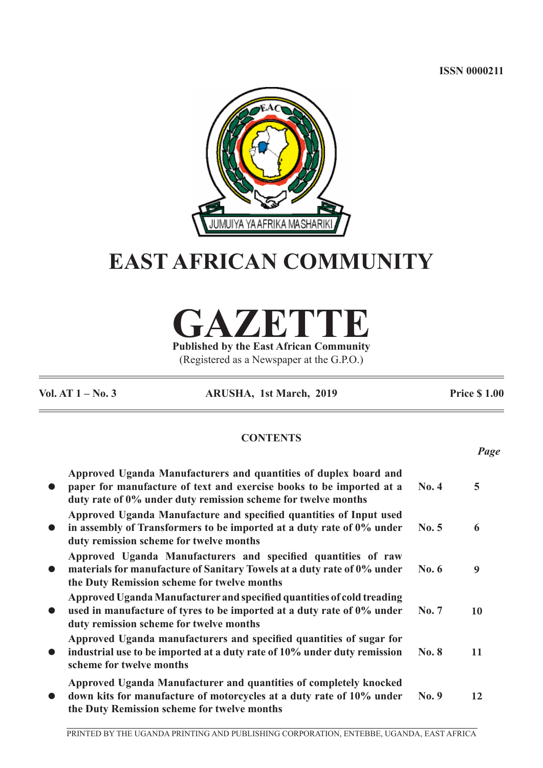**ISSN 0000211**



# **EAST AFRICAN COMMUNITY**

**GAZETTE**

**Published by the East African Community** (Registered as a Newspaper at the G.P.O.)

**Vol. AT 1 – No. 3 ARUSHA, 1st March, 2019 Price \$ 1.00**

*Page*

# **CONTENTS**

| $\bullet$ | Approved Uganda Manufacturers and quantities of duplex board and<br>paper for manufacture of text and exercise books to be imported at a<br>duty rate of 0% under duty remission scheme for twelve months | No. 4        | 5  |
|-----------|-----------------------------------------------------------------------------------------------------------------------------------------------------------------------------------------------------------|--------------|----|
| $\bullet$ | Approved Uganda Manufacture and specified quantities of Input used<br>in assembly of Transformers to be imported at a duty rate of 0% under<br>duty remission scheme for twelve months                    | No. 5        | 6  |
| $\bullet$ | Approved Uganda Manufacturers and specified quantities of raw<br>materials for manufacture of Sanitary Towels at a duty rate of 0% under<br>the Duty Remission scheme for twelve months                   | No. 6        | 9  |
| $\bullet$ | Approved Uganda Manufacturer and specified quantities of cold treading<br>used in manufacture of tyres to be imported at a duty rate of 0% under<br>duty remission scheme for twelve months               | No. 7        | 10 |
| $\bullet$ | Approved Uganda manufacturers and specified quantities of sugar for<br>industrial use to be imported at a duty rate of 10% under duty remission<br>scheme for twelve months                               | <b>No. 8</b> | 11 |
| $\bullet$ | Approved Uganda Manufacturer and quantities of completely knocked<br>down kits for manufacture of motorcycles at a duty rate of 10% under<br>the Duty Remission scheme for twelve months                  | No. 9        | 12 |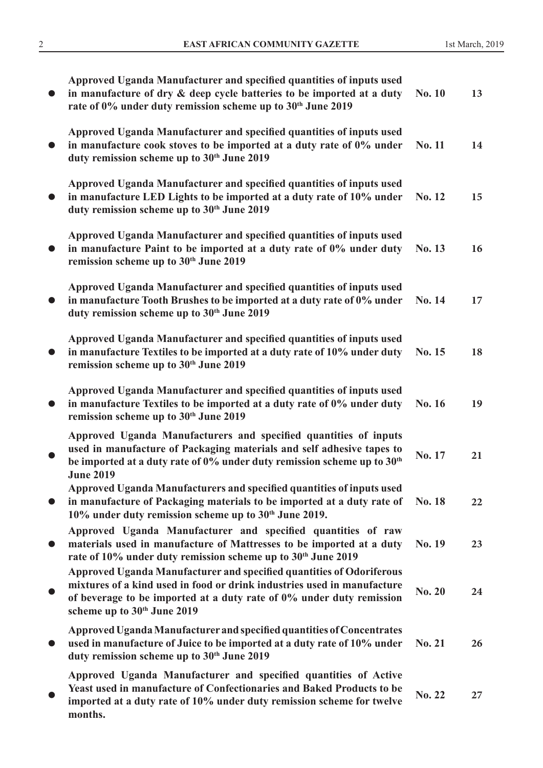|           | Approved Uganda Manufacturer and specified quantities of inputs used<br>in manufacture of dry & deep cycle batteries to be imported at a duty<br>rate of 0% under duty remission scheme up to 30th June 2019                                                       | <b>No. 10</b> | 13 |
|-----------|--------------------------------------------------------------------------------------------------------------------------------------------------------------------------------------------------------------------------------------------------------------------|---------------|----|
|           | Approved Uganda Manufacturer and specified quantities of inputs used<br>in manufacture cook stoves to be imported at a duty rate of 0% under<br>duty remission scheme up to 30 <sup>th</sup> June 2019                                                             | No. 11        | 14 |
| $\bullet$ | Approved Uganda Manufacturer and specified quantities of inputs used<br>in manufacture LED Lights to be imported at a duty rate of 10% under<br>duty remission scheme up to 30 <sup>th</sup> June 2019                                                             | No. 12        | 15 |
| $\bullet$ | Approved Uganda Manufacturer and specified quantities of inputs used<br>in manufacture Paint to be imported at a duty rate of 0% under duty<br>remission scheme up to 30 <sup>th</sup> June 2019                                                                   | No. 13        | 16 |
| $\bullet$ | Approved Uganda Manufacturer and specified quantities of inputs used<br>in manufacture Tooth Brushes to be imported at a duty rate of 0% under<br>duty remission scheme up to 30 <sup>th</sup> June 2019                                                           | No. 14        | 17 |
| $\bullet$ | Approved Uganda Manufacturer and specified quantities of inputs used<br>in manufacture Textiles to be imported at a duty rate of 10% under duty<br>remission scheme up to 30 <sup>th</sup> June 2019                                                               | No. 15        | 18 |
| $\bullet$ | Approved Uganda Manufacturer and specified quantities of inputs used<br>in manufacture Textiles to be imported at a duty rate of 0% under duty<br>remission scheme up to 30 <sup>th</sup> June 2019                                                                | No. 16        | 19 |
|           | Approved Uganda Manufacturers and specified quantities of inputs<br>used in manufacture of Packaging materials and self adhesive tapes to<br>be imported at a duty rate of 0% under duty remission scheme up to 30 <sup>th</sup><br><b>June 2019</b>               | No. 17        | 21 |
| $\bullet$ | Approved Uganda Manufacturers and specified quantities of inputs used<br>in manufacture of Packaging materials to be imported at a duty rate of<br>10% under duty remission scheme up to 30 <sup>th</sup> June 2019.                                               | No. 18        | 22 |
|           | Approved Uganda Manufacturer and specified quantities of raw<br>materials used in manufacture of Mattresses to be imported at a duty<br>rate of 10% under duty remission scheme up to 30th June 2019                                                               | No. 19        | 23 |
|           | Approved Uganda Manufacturer and specified quantities of Odoriferous<br>mixtures of a kind used in food or drink industries used in manufacture<br>of beverage to be imported at a duty rate of 0% under duty remission<br>scheme up to 30 <sup>th</sup> June 2019 | <b>No. 20</b> | 24 |
| $\bullet$ | Approved Uganda Manufacturer and specified quantities of Concentrates<br>used in manufacture of Juice to be imported at a duty rate of 10% under<br>duty remission scheme up to 30 <sup>th</sup> June 2019                                                         | No. 21        | 26 |
|           | Approved Uganda Manufacturer and specified quantities of Active<br>Yeast used in manufacture of Confectionaries and Baked Products to be<br>imported at a duty rate of 10% under duty remission scheme for twelve<br>months.                                       | No. 22        | 27 |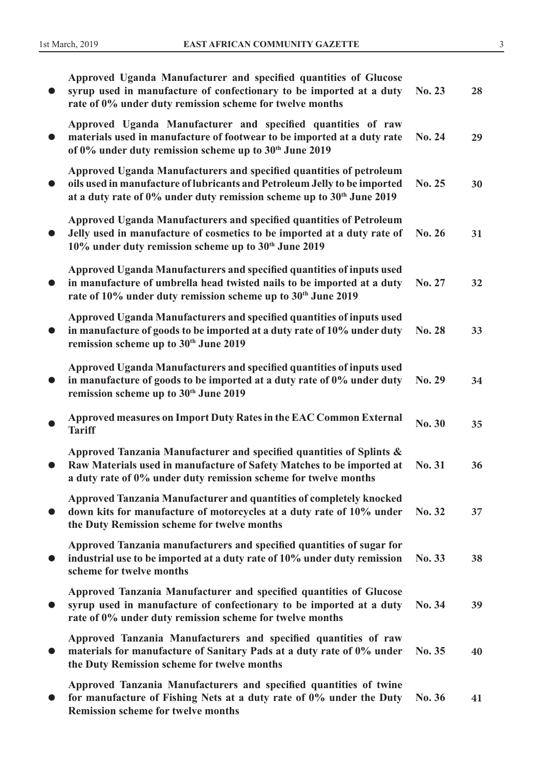|           | Approved Uganda Manufacturer and specified quantities of Glucose<br>syrup used in manufacture of confectionary to be imported at a duty<br>rate of 0% under duty remission scheme for twelve months                                   | No. 23        | 28 |
|-----------|---------------------------------------------------------------------------------------------------------------------------------------------------------------------------------------------------------------------------------------|---------------|----|
|           | Approved Uganda Manufacturer and specified quantities of raw<br>materials used in manufacture of footwear to be imported at a duty rate<br>of 0% under duty remission scheme up to 30 <sup>th</sup> June 2019                         | No. 24        | 29 |
|           | Approved Uganda Manufacturers and specified quantities of petroleum<br>oils used in manufacture of lubricants and Petroleum Jelly to be imported<br>at a duty rate of 0% under duty remission scheme up to 30 <sup>th</sup> June 2019 | No. 25        | 30 |
|           | Approved Uganda Manufacturers and specified quantities of Petroleum<br>Jelly used in manufacture of cosmetics to be imported at a duty rate of<br>10% under duty remission scheme up to 30 <sup>th</sup> June 2019                    | No. 26        | 31 |
|           | Approved Uganda Manufacturers and specified quantities of inputs used<br>in manufacture of umbrella head twisted nails to be imported at a duty<br>rate of 10% under duty remission scheme up to 30th June 2019                       | No. 27        | 32 |
| $\bullet$ | Approved Uganda Manufacturers and specified quantities of inputs used<br>in manufacture of goods to be imported at a duty rate of 10% under duty<br>remission scheme up to 30 <sup>th</sup> June 2019                                 | No. 28        | 33 |
| $\bullet$ | Approved Uganda Manufacturers and specified quantities of inputs used<br>in manufacture of goods to be imported at a duty rate of 0% under duty<br>remission scheme up to 30 <sup>th</sup> June 2019                                  | No. 29        | 34 |
|           | Approved measures on Import Duty Rates in the EAC Common External<br><b>Tariff</b>                                                                                                                                                    | <b>No. 30</b> | 35 |
|           | Approved Tanzania Manufacturer and specified quantities of Splints &<br>Raw Materials used in manufacture of Safety Matches to be imported at<br>a duty rate of 0% under duty remission scheme for twelve months                      | No. 31        | 36 |
|           | Approved Tanzania Manufacturer and quantities of completely knocked<br>down kits for manufacture of motorcycles at a duty rate of 10% under<br>the Duty Remission scheme for twelve months                                            | No. 32        | 37 |
|           | Approved Tanzania manufacturers and specified quantities of sugar for<br>industrial use to be imported at a duty rate of 10% under duty remission<br>scheme for twelve months                                                         | No. 33        | 38 |
|           | Approved Tanzania Manufacturer and specified quantities of Glucose<br>syrup used in manufacture of confectionary to be imported at a duty<br>rate of 0% under duty remission scheme for twelve months                                 | No. 34        | 39 |
|           | Approved Tanzania Manufacturers and specified quantities of raw<br>materials for manufacture of Sanitary Pads at a duty rate of 0% under<br>the Duty Remission scheme for twelve months                                               | No. 35        | 40 |
|           | Approved Tanzania Manufacturers and specified quantities of twine<br>for manufacture of Fishing Nets at a duty rate of 0% under the Duty<br><b>Remission scheme for twelve months</b>                                                 | No. 36        | 41 |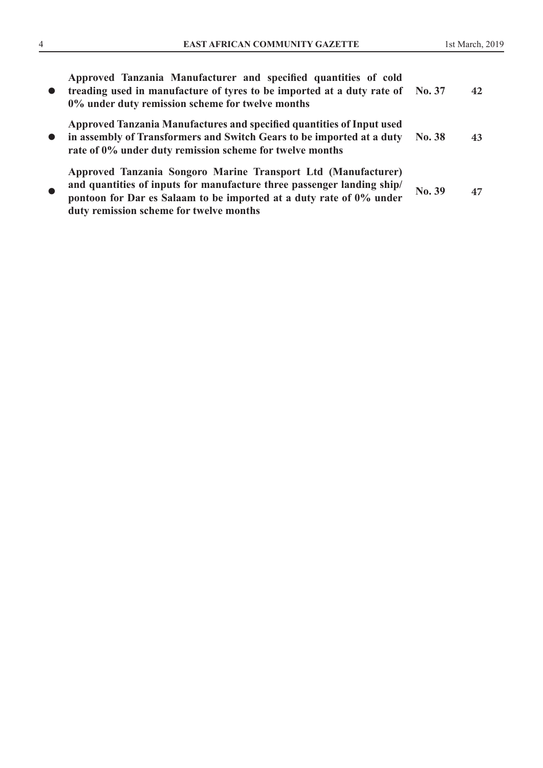| $\bullet$ | Approved Tanzania Manufacturer and specified quantities of cold<br>treading used in manufacture of tyres to be imported at a duty rate of No. 37<br>0% under duty remission scheme for twelve months                                                      |        | 42 |
|-----------|-----------------------------------------------------------------------------------------------------------------------------------------------------------------------------------------------------------------------------------------------------------|--------|----|
| $\bullet$ | Approved Tanzania Manufactures and specified quantities of Input used<br>in assembly of Transformers and Switch Gears to be imported at a duty<br>rate of 0% under duty remission scheme for twelve months                                                | No. 38 | 43 |
| $\bullet$ | Approved Tanzania Songoro Marine Transport Ltd (Manufacturer)<br>and quantities of inputs for manufacture three passenger landing ship/<br>pontoon for Dar es Salaam to be imported at a duty rate of 0% under<br>duty remission scheme for twelve months | No. 39 | 47 |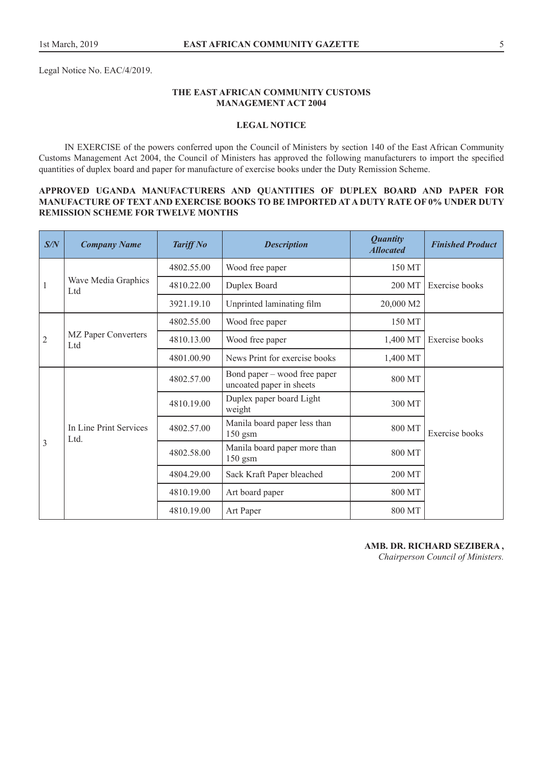Legal Notice No. EAC/4/2019.

## **THE EAST AFRICAN COMMUNITY CUSTOMS MANAGEMENT ACT 2004**

## **LEGAL NOTICE**

IN EXERCISE of the powers conferred upon the Council of Ministers by section 140 of the East African Community Customs Management Act 2004, the Council of Ministers has approved the following manufacturers to import the specified quantities of duplex board and paper for manufacture of exercise books under the Duty Remission Scheme.

## **APPROVED UGANDA MANUFACTURERS AND QUANTITIES OF DUPLEX BOARD AND PAPER FOR MANUFACTURE OF TEXT AND EXERCISE BOOKS TO BE IMPORTED AT A DUTY RATE OF 0% UNDER DUTY REMISSION SCHEME FOR TWELVE MONTHS**

| S/N            | <b>Company Name</b>                       | <b>Tariff No</b> | <b>Description</b>                                       | <b>Quantity</b><br><b>Allocated</b> | <b>Finished Product</b> |
|----------------|-------------------------------------------|------------------|----------------------------------------------------------|-------------------------------------|-------------------------|
|                |                                           | 4802.55.00       | Wood free paper                                          | 150 MT                              |                         |
| $\mathbf{1}$   | Wave Media Graphics<br>Ltd                | 4810.22.00       | Duplex Board                                             | 200 MT                              | Exercise books          |
|                |                                           | 3921.19.10       | Unprinted laminating film                                | 20,000 M2                           |                         |
|                |                                           | 4802.55.00       | Wood free paper                                          | 150 MT                              |                         |
| $\overline{2}$ | <b>MZ</b> Paper Converters<br>Ltd         | 4810.13.00       | Wood free paper                                          | 1,400 MT                            | Exercise books          |
|                |                                           | 4801.00.90       | News Print for exercise books                            | 1,400 MT                            |                         |
|                | In Line Print Services<br>L <sub>td</sub> | 4802.57.00       | Bond paper – wood free paper<br>uncoated paper in sheets | 800 MT                              |                         |
|                |                                           | 4810.19.00       | Duplex paper board Light<br>weight                       | 300 MT                              |                         |
|                |                                           | 4802.57.00       | Manila board paper less than<br>150 gsm                  | 800 MT                              | Exercise books          |
| 3              |                                           | 4802.58.00       | Manila board paper more than<br>150 gsm                  | 800 MT                              |                         |
|                |                                           | 4804.29.00       | Sack Kraft Paper bleached                                | 200 MT                              |                         |
|                |                                           | 4810.19.00       | Art board paper                                          | 800 MT                              |                         |
|                |                                           | 4810.19.00       | Art Paper                                                | 800 MT                              |                         |

## **AMB. DR. RICHARD SEZIBERA ,**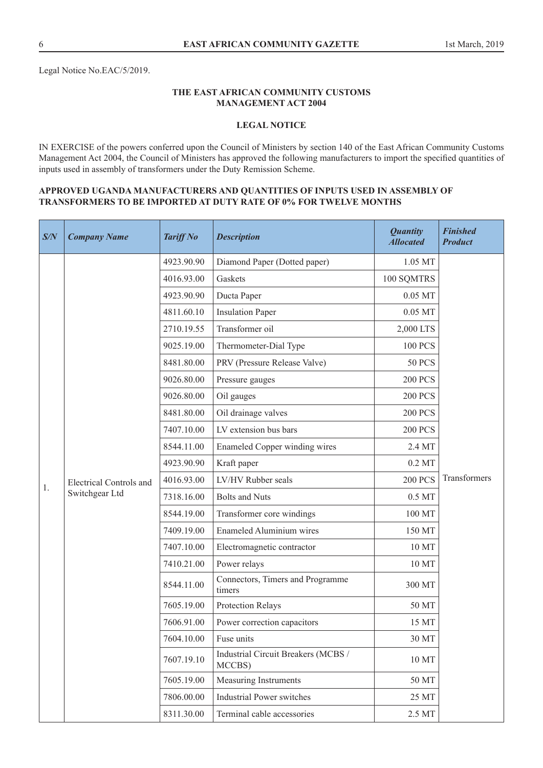## **THE EAST AFRICAN COMMUNITY CUSTOMS MANAGEMENT ACT 2004**

# **LEGAL NOTICE**

IN EXERCISE of the powers conferred upon the Council of Ministers by section 140 of the East African Community Customs Management Act 2004, the Council of Ministers has approved the following manufacturers to import the specified quantities of inputs used in assembly of transformers under the Duty Remission Scheme.

## **APPROVED UGANDA MANUFACTURERS AND QUANTITIES OF INPUTS USED IN ASSEMBLY OF TRANSFORMERS TO BE IMPORTED AT DUTY RATE OF 0% FOR TWELVE MONTHS**

| S/N | <b>Company Name</b>            | <b>Tariff No</b> | <b>Description</b>                            | <b>Quantity</b><br><b>Allocated</b> | <b>Finished</b><br><b>Product</b> |
|-----|--------------------------------|------------------|-----------------------------------------------|-------------------------------------|-----------------------------------|
|     |                                | 4923.90.90       | Diamond Paper (Dotted paper)                  | 1.05 MT                             |                                   |
|     |                                | 4016.93.00       | Gaskets                                       | 100 SQMTRS                          |                                   |
|     |                                | 4923.90.90       | Ducta Paper                                   | $0.05$ MT                           |                                   |
|     |                                | 4811.60.10       | <b>Insulation Paper</b>                       | $0.05$ MT                           |                                   |
|     |                                | 2710.19.55       | Transformer oil                               | 2,000 LTS                           |                                   |
|     |                                | 9025.19.00       | Thermometer-Dial Type                         | <b>100 PCS</b>                      |                                   |
|     |                                | 8481.80.00       | PRV (Pressure Release Valve)                  | <b>50 PCS</b>                       |                                   |
|     |                                | 9026.80.00       | Pressure gauges                               | <b>200 PCS</b>                      |                                   |
|     |                                | 9026.80.00       | Oil gauges                                    | <b>200 PCS</b>                      |                                   |
|     |                                | 8481.80.00       | Oil drainage valves                           | <b>200 PCS</b>                      |                                   |
|     | <b>Electrical Controls and</b> | 7407.10.00       | LV extension bus bars                         | <b>200 PCS</b>                      |                                   |
|     |                                | 8544.11.00       | Enameled Copper winding wires                 | 2.4 MT                              |                                   |
|     |                                | 4923.90.90       | Kraft paper                                   | $0.2$ MT                            |                                   |
| 1.  |                                | 4016.93.00       | LV/HV Rubber seals                            | <b>200 PCS</b>                      | Transformers                      |
|     | Switchgear Ltd                 | 7318.16.00       | <b>Bolts and Nuts</b>                         | 0.5 MT                              |                                   |
|     |                                | 8544.19.00       | Transformer core windings                     | 100 MT                              |                                   |
|     |                                | 7409.19.00       | <b>Enameled Aluminium wires</b>               | 150 MT                              |                                   |
|     |                                | 7407.10.00       | Electromagnetic contractor                    | 10 MT                               |                                   |
|     |                                | 7410.21.00       | Power relays                                  | 10 MT                               |                                   |
|     |                                | 8544.11.00       | Connectors, Timers and Programme<br>timers    | 300 MT                              |                                   |
|     |                                | 7605.19.00       | Protection Relays                             | 50 MT                               |                                   |
|     |                                | 7606.91.00       | Power correction capacitors                   | 15 MT                               |                                   |
|     |                                | 7604.10.00       | Fuse units                                    | 30 MT                               |                                   |
|     |                                | 7607.19.10       | Industrial Circuit Breakers (MCBS /<br>MCCBS) | 10 MT                               |                                   |
|     |                                | 7605.19.00       | Measuring Instruments                         | 50 MT                               |                                   |
|     |                                | 7806.00.00       | <b>Industrial Power switches</b>              | 25 MT                               |                                   |
|     |                                | 8311.30.00       | Terminal cable accessories                    | 2.5 MT                              |                                   |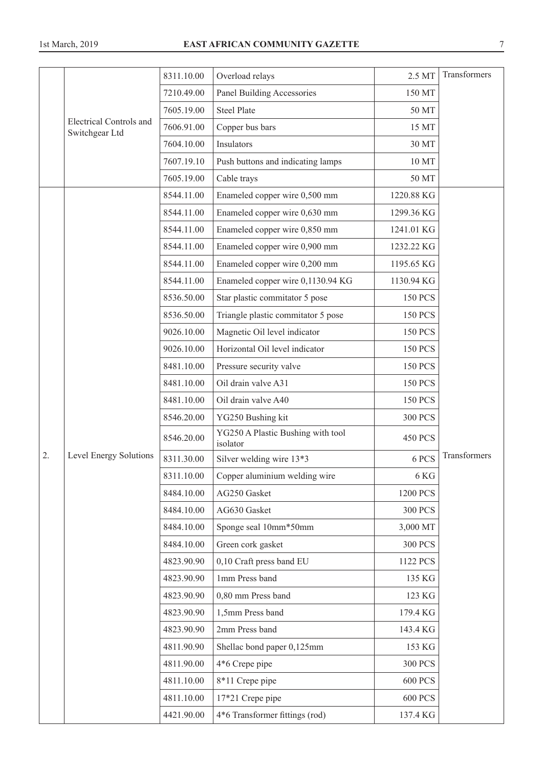|    |                                                  | 8311.10.00 | Overload relays                               | 2.5 MT         | Transformers |
|----|--------------------------------------------------|------------|-----------------------------------------------|----------------|--------------|
|    |                                                  | 7210.49.00 | Panel Building Accessories                    | 150 MT         |              |
|    |                                                  | 7605.19.00 | <b>Steel Plate</b>                            | 50 MT          |              |
|    | <b>Electrical Controls and</b><br>Switchgear Ltd | 7606.91.00 | Copper bus bars                               | 15 MT          |              |
|    |                                                  | 7604.10.00 | <b>Insulators</b>                             | 30 MT          |              |
|    |                                                  | 7607.19.10 | Push buttons and indicating lamps             | 10 MT          |              |
|    |                                                  | 7605.19.00 | Cable trays                                   | 50 MT          |              |
|    |                                                  | 8544.11.00 | Enameled copper wire 0,500 mm                 | 1220.88 KG     |              |
|    |                                                  | 8544.11.00 | Enameled copper wire 0,630 mm                 | 1299.36 KG     |              |
|    |                                                  | 8544.11.00 | Enameled copper wire 0,850 mm                 | 1241.01 KG     |              |
|    |                                                  | 8544.11.00 | Enameled copper wire 0,900 mm                 | 1232.22 KG     |              |
|    |                                                  | 8544.11.00 | Enameled copper wire 0,200 mm                 | 1195.65 KG     |              |
|    |                                                  | 8544.11.00 | Enameled copper wire 0,1130.94 KG             | 1130.94 KG     |              |
|    |                                                  | 8536.50.00 | Star plastic commitator 5 pose                | <b>150 PCS</b> |              |
|    |                                                  | 8536.50.00 | Triangle plastic commitator 5 pose            | <b>150 PCS</b> |              |
|    |                                                  | 9026.10.00 | Magnetic Oil level indicator                  | <b>150 PCS</b> |              |
|    |                                                  | 9026.10.00 | Horizontal Oil level indicator                | <b>150 PCS</b> |              |
|    |                                                  | 8481.10.00 | Pressure security valve                       | <b>150 PCS</b> |              |
|    |                                                  | 8481.10.00 | Oil drain valve A31                           | <b>150 PCS</b> |              |
|    |                                                  | 8481.10.00 | Oil drain valve A40                           | <b>150 PCS</b> |              |
|    |                                                  | 8546.20.00 | YG250 Bushing kit                             | <b>300 PCS</b> |              |
|    |                                                  | 8546.20.00 | YG250 A Plastic Bushing with tool<br>isolator | <b>450 PCS</b> |              |
| 2. | Level Energy Solutions                           | 8311.30.00 | Silver welding wire 13*3                      | 6 PCS          | Transformers |
|    |                                                  | 8311.10.00 | Copper aluminium welding wire                 | 6 KG           |              |
|    |                                                  | 8484.10.00 | AG250 Gasket                                  | 1200 PCS       |              |
|    |                                                  | 8484.10.00 | AG630 Gasket                                  | <b>300 PCS</b> |              |
|    |                                                  | 8484.10.00 | Sponge seal 10mm*50mm                         | 3,000 MT       |              |
|    |                                                  | 8484.10.00 | Green cork gasket                             | <b>300 PCS</b> |              |
|    |                                                  | 4823.90.90 | 0,10 Craft press band EU                      | 1122 PCS       |              |
|    |                                                  | 4823.90.90 | 1mm Press band                                | 135 KG         |              |
|    |                                                  | 4823.90.90 | 0,80 mm Press band                            | 123 KG         |              |
|    |                                                  | 4823.90.90 | 1,5mm Press band                              | 179.4 KG       |              |
|    |                                                  | 4823.90.90 | 2mm Press band                                | 143.4 KG       |              |
|    |                                                  | 4811.90.90 | Shellac bond paper 0,125mm                    | 153 KG         |              |
|    |                                                  | 4811.90.00 | 4*6 Crepe pipe                                | <b>300 PCS</b> |              |
|    |                                                  | 4811.10.00 | 8*11 Crepe pipe                               | <b>600 PCS</b> |              |
|    |                                                  | 4811.10.00 | 17*21 Crepe pipe                              | <b>600 PCS</b> |              |
|    |                                                  | 4421.90.00 | 4*6 Transformer fittings (rod)                | 137.4 KG       |              |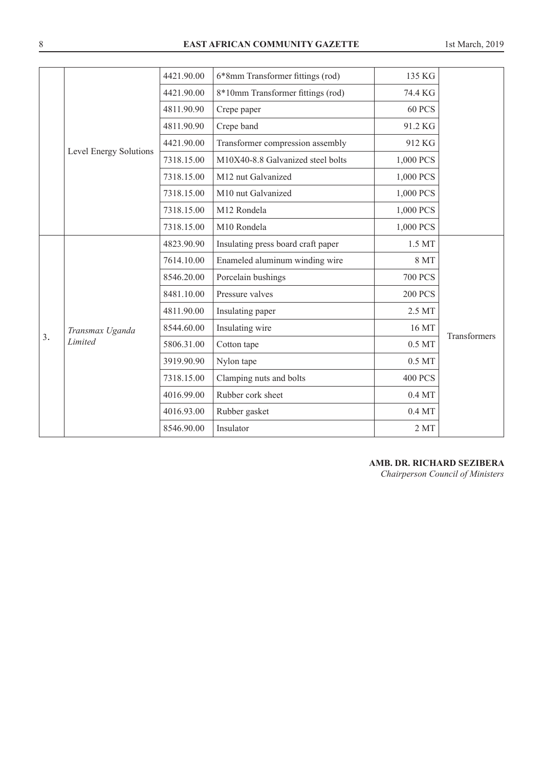|    |                        | 4421.90.00 | 6*8mm Transformer fittings (rod)   | 135 KG             |              |
|----|------------------------|------------|------------------------------------|--------------------|--------------|
|    |                        | 4421.90.00 | 8*10mm Transformer fittings (rod)  | 74.4 KG            |              |
|    |                        | 4811.90.90 | Crepe paper                        | 60 PCS             |              |
|    |                        | 4811.90.90 | Crepe band                         | 91.2 KG            |              |
|    |                        | 4421.90.00 | Transformer compression assembly   | 912 KG             |              |
|    | Level Energy Solutions | 7318.15.00 | M10X40-8.8 Galvanized steel bolts  | 1,000 PCS          |              |
|    |                        | 7318.15.00 | M12 nut Galvanized                 | 1,000 PCS          |              |
|    |                        | 7318.15.00 | M10 nut Galvanized                 | 1,000 PCS          |              |
|    |                        | 7318.15.00 | M12 Rondela                        | 1,000 PCS          |              |
|    |                        | 7318.15.00 | M10 Rondela                        | 1,000 PCS          |              |
|    |                        | 4823.90.90 | Insulating press board craft paper | 1.5 MT             |              |
|    |                        | 7614.10.00 | Enameled aluminum winding wire     | <b>8 MT</b>        |              |
|    |                        | 8546.20.00 | Porcelain bushings                 | <b>700 PCS</b>     |              |
|    |                        | 8481.10.00 | Pressure valves                    | <b>200 PCS</b>     |              |
|    |                        | 4811.90.00 | Insulating paper                   | 2.5 MT             |              |
|    | Transmax Uganda        | 8544.60.00 | Insulating wire                    | 16 MT              |              |
| 3. | Limited                | 5806.31.00 | Cotton tape                        | 0.5 MT             | Transformers |
|    |                        | 3919.90.90 | Nylon tape                         | $0.5\,\mathrm{MT}$ |              |
|    |                        | 7318.15.00 | Clamping nuts and bolts            | <b>400 PCS</b>     |              |
|    |                        | 4016.99.00 | Rubber cork sheet                  | $0.4\,\mathrm{MT}$ |              |
|    |                        | 4016.93.00 | Rubber gasket                      | $0.4\,\mathrm{MT}$ |              |
|    |                        | 8546.90.00 | Insulator                          | $2\,\mathrm{MT}$   |              |
|    |                        |            |                                    |                    |              |

**AMB. DR. RICHARD SEZIBERA**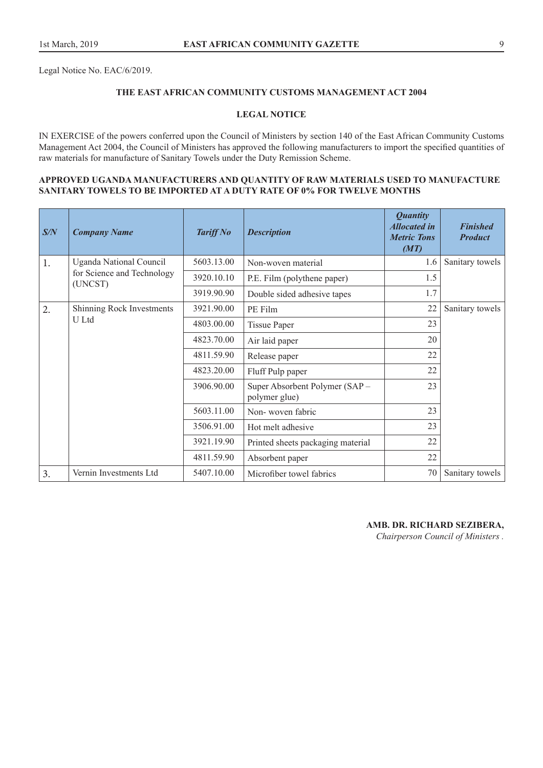Legal Notice No. EAC/6/2019.

## **THE EAST AFRICAN COMMUNITY CUSTOMS MANAGEMENT ACT 2004**

## **LEGAL NOTICE**

IN EXERCISE of the powers conferred upon the Council of Ministers by section 140 of the East African Community Customs Management Act 2004, the Council of Ministers has approved the following manufacturers to import the specified quantities of raw materials for manufacture of Sanitary Towels under the Duty Remission Scheme.

## **APPROVED UGANDA MANUFACTURERS AND QUANTITY OF RAW MATERIALS USED TO MANUFACTURE SANITARY TOWELS TO BE IMPORTED AT A DUTY RATE OF 0% FOR TWELVE MONTHS**

| S/N | <b>Company Name</b>                   | <b>Tariff No</b> | <b>Description</b>                              | <b>Quantity</b><br><b>Allocated in</b><br><b>Metric Tons</b><br>(MT) | <b>Finished</b><br><b>Product</b> |
|-----|---------------------------------------|------------------|-------------------------------------------------|----------------------------------------------------------------------|-----------------------------------|
| 1.  | <b>Uganda National Council</b>        | 5603.13.00       | Non-woven material                              | 1.6                                                                  | Sanitary towels                   |
|     | for Science and Technology<br>(UNCST) | 3920.10.10       | P.E. Film (polythene paper)                     | 1.5                                                                  |                                   |
|     |                                       | 3919.90.90       | Double sided adhesive tapes                     | 1.7                                                                  |                                   |
| 2.  | Shinning Rock Investments             | 3921.90.00       | PE Film                                         | 22                                                                   | Sanitary towels                   |
|     | U Ltd                                 | 4803.00.00       | <b>Tissue Paper</b>                             | 23                                                                   |                                   |
|     |                                       | 4823.70.00       | Air laid paper                                  | 20                                                                   |                                   |
|     |                                       | 4811.59.90       | Release paper                                   | 22                                                                   |                                   |
|     |                                       | 4823.20.00       | Fluff Pulp paper                                | 22                                                                   |                                   |
|     |                                       | 3906.90.00       | Super Absorbent Polymer (SAP –<br>polymer glue) | 23                                                                   |                                   |
|     |                                       | 5603.11.00       | Non-woven fabric                                | 23                                                                   |                                   |
|     |                                       | 3506.91.00       | Hot melt adhesive                               | 23                                                                   |                                   |
|     |                                       | 3921.19.90       | Printed sheets packaging material               | 22                                                                   |                                   |
|     |                                       | 4811.59.90       | Absorbent paper                                 | 22                                                                   |                                   |
| 3.  | Vernin Investments Ltd                | 5407.10.00       | Microfiber towel fabrics                        | 70                                                                   | Sanitary towels                   |

## **AMB. DR. RICHARD SEZIBERA,**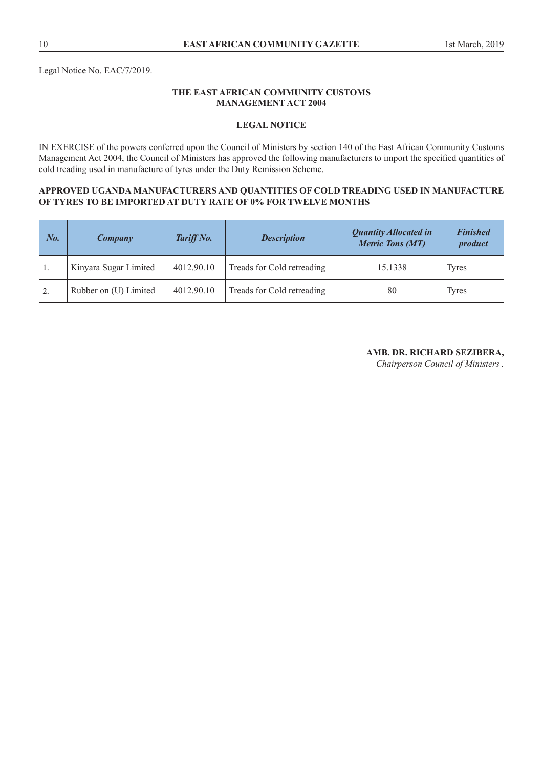# **THE EAST AFRICAN COMMUNITY CUSTOMS MANAGEMENT ACT 2004**

# **LEGAL NOTICE**

IN EXERCISE of the powers conferred upon the Council of Ministers by section 140 of the East African Community Customs Management Act 2004, the Council of Ministers has approved the following manufacturers to import the specified quantities of cold treading used in manufacture of tyres under the Duty Remission Scheme.

## **APPROVED UGANDA MANUFACTURERS AND QUANTITIES OF COLD TREADING USED IN MANUFACTURE OF TYRES TO BE IMPORTED AT DUTY RATE OF 0% FOR TWELVE MONTHS**

| No.              | Company               | Tariff No. | <b>Description</b>         | <b>Quantity Allocated in</b><br><b>Metric Tons (MT)</b> | <b>Finished</b><br>product |
|------------------|-----------------------|------------|----------------------------|---------------------------------------------------------|----------------------------|
| ' 1.             | Kinyara Sugar Limited | 4012.90.10 | Treads for Cold retreading | 15.1338                                                 | Tyres                      |
| $\overline{2}$ . | Rubber on (U) Limited | 4012.90.10 | Treads for Cold retreading | 80                                                      | <b>Tyres</b>               |

# **AMB. DR. RICHARD SEZIBERA,**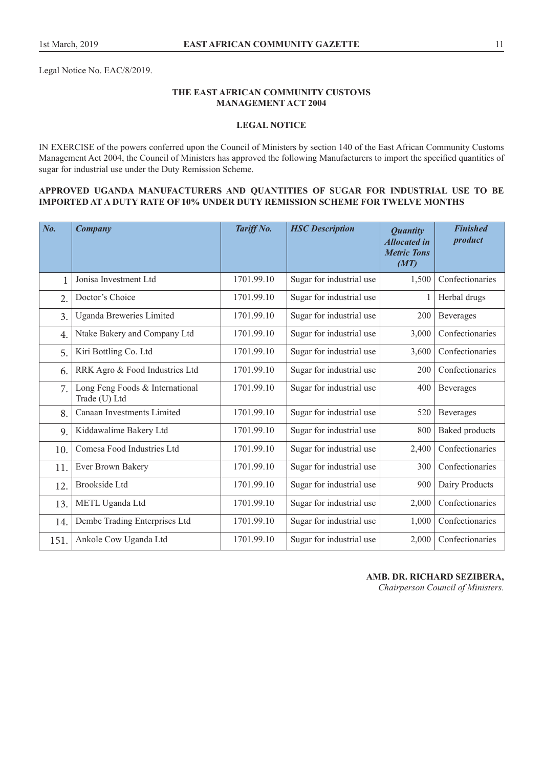Legal Notice No. EAC/8/2019.

## **THE EAST AFRICAN COMMUNITY CUSTOMS MANAGEMENT ACT 2004**

## **LEGAL NOTICE**

IN EXERCISE of the powers conferred upon the Council of Ministers by section 140 of the East African Community Customs Management Act 2004, the Council of Ministers has approved the following Manufacturers to import the specified quantities of sugar for industrial use under the Duty Remission Scheme.

#### **APPROVED UGANDA MANUFACTURERS AND QUANTITIES OF SUGAR FOR INDUSTRIAL USE TO BE IMPORTED AT A DUTY RATE OF 10% UNDER DUTY REMISSION SCHEME FOR TWELVE MONTHS**

| No.          | Company                                          | Tariff No. | <b>HSC</b> Description   | <b>Quantity</b><br><b>Allocated in</b><br><b>Metric Tons</b><br>(MT) | <b>Finished</b><br>product |
|--------------|--------------------------------------------------|------------|--------------------------|----------------------------------------------------------------------|----------------------------|
| $\mathbf{1}$ | Jonisa Investment Ltd                            | 1701.99.10 | Sugar for industrial use | 1,500                                                                | Confectionaries            |
| 2.           | Doctor's Choice                                  | 1701.99.10 | Sugar for industrial use | $\mathbf{1}$                                                         | Herbal drugs               |
| 3.           | Uganda Breweries Limited                         | 1701.99.10 | Sugar for industrial use | 200                                                                  | Beverages                  |
| 4.           | Ntake Bakery and Company Ltd                     | 1701.99.10 | Sugar for industrial use | 3,000                                                                | Confectionaries            |
| 5.           | Kiri Bottling Co. Ltd                            | 1701.99.10 | Sugar for industrial use | 3,600                                                                | Confectionaries            |
| 6.           | RRK Agro & Food Industries Ltd                   | 1701.99.10 | Sugar for industrial use | 200                                                                  | Confectionaries            |
| 7.           | Long Feng Foods & International<br>Trade (U) Ltd | 1701.99.10 | Sugar for industrial use | 400                                                                  | Beverages                  |
| 8.           | Canaan Investments Limited                       | 1701.99.10 | Sugar for industrial use | 520                                                                  | Beverages                  |
| 9.           | Kiddawalime Bakery Ltd                           | 1701.99.10 | Sugar for industrial use | 800                                                                  | <b>Baked</b> products      |
| 10.          | Comesa Food Industries Ltd                       | 1701.99.10 | Sugar for industrial use | 2,400                                                                | Confectionaries            |
| 11.          | Ever Brown Bakery                                | 1701.99.10 | Sugar for industrial use | 300                                                                  | Confectionaries            |
| 12.          | <b>Brookside Ltd</b>                             | 1701.99.10 | Sugar for industrial use | 900                                                                  | Dairy Products             |
| 13.          | METL Uganda Ltd                                  | 1701.99.10 | Sugar for industrial use | 2,000                                                                | Confectionaries            |
| 14.          | Dembe Trading Enterprises Ltd                    | 1701.99.10 | Sugar for industrial use | 1,000                                                                | Confectionaries            |
| 151.         | Ankole Cow Uganda Ltd                            | 1701.99.10 | Sugar for industrial use | 2,000                                                                | Confectionaries            |

## **AMB. DR. RICHARD SEZIBERA,**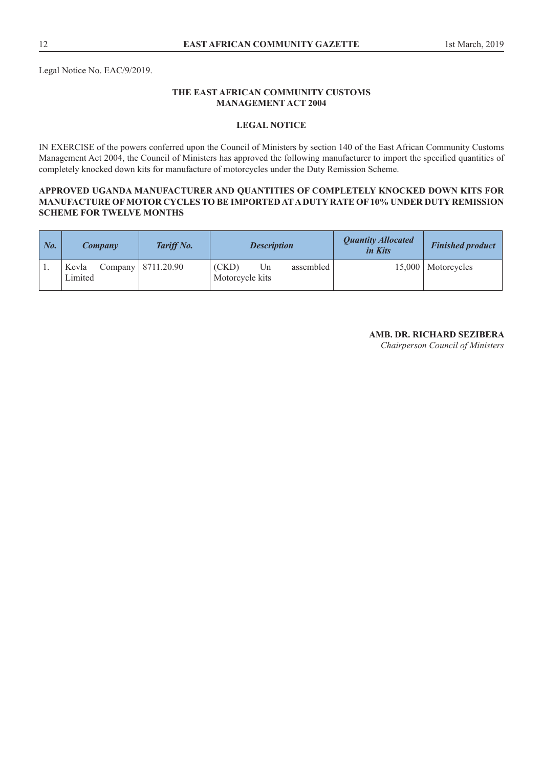# **THE EAST AFRICAN COMMUNITY CUSTOMS MANAGEMENT ACT 2004**

## **LEGAL NOTICE**

IN EXERCISE of the powers conferred upon the Council of Ministers by section 140 of the East African Community Customs Management Act 2004, the Council of Ministers has approved the following manufacturer to import the specified quantities of completely knocked down kits for manufacture of motorcycles under the Duty Remission Scheme.

## **APPROVED UGANDA MANUFACTURER AND QUANTITIES OF COMPLETELY KNOCKED DOWN KITS FOR MANUFACTURE OF MOTOR CYCLES TO BE IMPORTED AT A DUTY RATE OF 10% UNDER DUTY REMISSION SCHEME FOR TWELVE MONTHS**

| $\mid$ No. | <b>Company</b>   | <b>Tariff No.</b>    | <b>Description</b>                          | <b>Quantity Allocated</b><br>in Kits | <b>Finished product</b> |
|------------|------------------|----------------------|---------------------------------------------|--------------------------------------|-------------------------|
|            | Kevla<br>Limited | Company   8711.20.90 | (CKD)<br>assembled<br>Un<br>Motorcycle kits |                                      | 15,000   Motorcycles    |

# **AMB. DR. RICHARD SEZIBERA**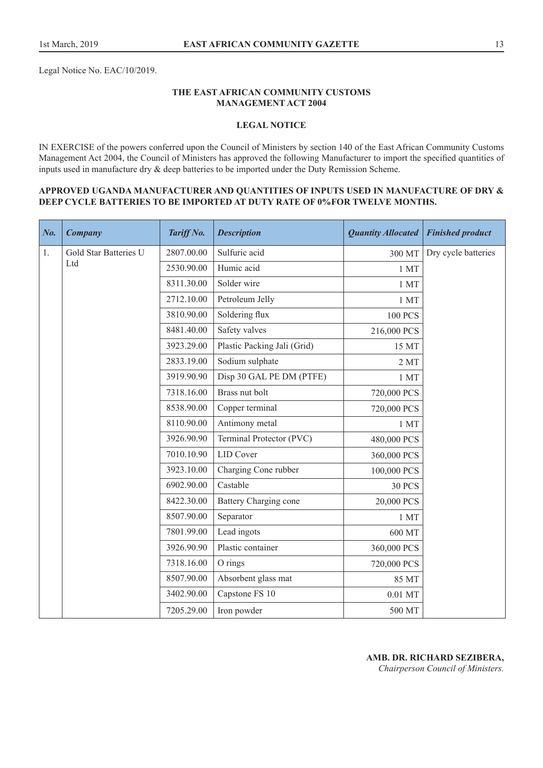Legal Notice No. EAC/10/2019.

## **THE EAST AFRICAN COMMUNITY CUSTOMS MANAGEMENT ACT 2004**

## **LEGAL NOTICE**

IN EXERCISE of the powers conferred upon the Council of Ministers by section 140 of the East African Community Customs Management Act 2004, the Council of Ministers has approved the following Manufacturer to import the specified quantities of inputs used in manufacture dry & deep batteries to be imported under the Duty Remission Scheme.

#### **APPROVED UGANDA MANUFACTURER AND QUANTITIES OF INPUTS USED IN MANUFACTURE OF DRY & DEEP CYCLE BATTERIES TO BE IMPORTED AT DUTY RATE OF 0%FOR TWELVE MONTHS.**

| No. | <b>Company</b>        | Tariff No. | <b>Description</b>          | <b>Quantity Allocated</b> | <b>Finished product</b> |
|-----|-----------------------|------------|-----------------------------|---------------------------|-------------------------|
| 1.  | Gold Star Batteries U | 2807.00.00 | Sulfuric acid               | 300 MT                    | Dry cycle batteries     |
|     | Ltd                   | 2530.90.00 | Humic acid                  | 1 MT                      |                         |
|     |                       | 8311.30.00 | Solder wire                 | 1 MT                      |                         |
|     |                       | 2712.10.00 | Petroleum Jelly             | 1 MT                      |                         |
|     |                       | 3810.90.00 | Soldering flux              | <b>100 PCS</b>            |                         |
|     |                       | 8481.40.00 | Safety valves               | 216,000 PCS               |                         |
|     |                       | 3923.29.00 | Plastic Packing Jali (Grid) | 15 MT                     |                         |
|     |                       | 2833.19.00 | Sodium sulphate             | 2MT                       |                         |
|     |                       | 3919.90.90 | Disp 30 GAL PE DM (PTFE)    | 1 MT                      |                         |
|     |                       | 7318.16.00 | Brass nut bolt              | 720,000 PCS               |                         |
|     |                       | 8538.90.00 | Copper terminal             | 720,000 PCS               |                         |
|     |                       | 8110.90.00 | Antimony metal              | 1 MT                      |                         |
|     |                       | 3926.90.90 | Terminal Protector (PVC)    | 480,000 PCS               |                         |
|     |                       | 7010.10.90 | <b>LID</b> Cover            | 360,000 PCS               |                         |
|     |                       | 3923.10.00 | Charging Cone rubber        | 100,000 PCS               |                         |
|     |                       | 6902.90.00 | Castable                    | <b>30 PCS</b>             |                         |
|     |                       | 8422.30.00 | Battery Charging cone       | 20,000 PCS                |                         |
|     |                       | 8507.90.00 | Separator                   | 1 MT                      |                         |
|     |                       | 7801.99.00 | Lead ingots                 | 600 MT                    |                         |
|     |                       | 3926.90.90 | Plastic container           | 360,000 PCS               |                         |
|     |                       | 7318.16.00 | O rings                     | 720,000 PCS               |                         |
|     |                       | 8507.90.00 | Absorbent glass mat         | 85 MT                     |                         |
|     |                       | 3402.90.00 | Capstone FS 10              | 0.01 MT                   |                         |
|     |                       | 7205.29.00 | Iron powder                 | 500 MT                    |                         |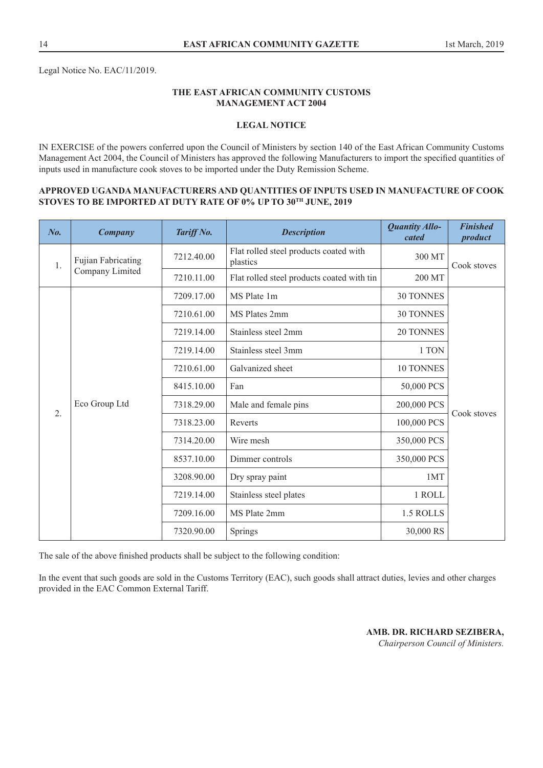# **THE EAST AFRICAN COMMUNITY CUSTOMS MANAGEMENT ACT 2004**

## **LEGAL NOTICE**

IN EXERCISE of the powers conferred upon the Council of Ministers by section 140 of the East African Community Customs Management Act 2004, the Council of Ministers has approved the following Manufacturers to import the specified quantities of inputs used in manufacture cook stoves to be imported under the Duty Remission Scheme.

#### **APPROVED UGANDA MANUFACTURERS AND QUANTITIES OF INPUTS USED IN MANUFACTURE OF COOK STOVES TO BE IMPORTED AT DUTY RATE OF 0% UP TO 30TH JUNE, 2019**

| $N_{0}$ . | Company                   | Tariff No. | <b>Description</b>                                 | <b>Quantity Allo-</b><br>cated | <b>Finished</b><br>product |
|-----------|---------------------------|------------|----------------------------------------------------|--------------------------------|----------------------------|
| 1.        | <b>Fujian Fabricating</b> | 7212.40.00 | Flat rolled steel products coated with<br>plastics | 300 MT                         | Cook stoves                |
|           | Company Limited           | 7210.11.00 | Flat rolled steel products coated with tin         | 200 MT                         |                            |
|           |                           | 7209.17.00 | MS Plate 1m                                        | <b>30 TONNES</b>               |                            |
|           |                           | 7210.61.00 | MS Plates 2mm                                      | <b>30 TONNES</b>               |                            |
|           |                           | 7219.14.00 | Stainless steel 2mm                                | <b>20 TONNES</b>               |                            |
|           |                           | 7219.14.00 | Stainless steel 3mm                                | 1 TON                          |                            |
|           |                           | 7210.61.00 | Galvanized sheet                                   | 10 TONNES                      |                            |
|           |                           | 8415.10.00 | Fan                                                | 50,000 PCS                     |                            |
| 2.        | Eco Group Ltd             | 7318.29.00 | Male and female pins                               | 200,000 PCS                    |                            |
|           |                           | 7318.23.00 | Reverts                                            | 100,000 PCS                    | Cook stoves                |
|           |                           | 7314.20.00 | Wire mesh                                          | 350,000 PCS                    |                            |
|           |                           | 8537.10.00 | Dimmer controls                                    | 350,000 PCS                    |                            |
|           |                           | 3208.90.00 | Dry spray paint                                    | 1MT                            |                            |
|           |                           | 7219.14.00 | Stainless steel plates                             | 1 ROLL                         |                            |
|           |                           | 7209.16.00 | MS Plate 2mm                                       | 1.5 ROLLS                      |                            |
|           |                           | 7320.90.00 | Springs                                            | 30,000 RS                      |                            |

The sale of the above finished products shall be subject to the following condition:

In the event that such goods are sold in the Customs Territory (EAC), such goods shall attract duties, levies and other charges provided in the EAC Common External Tariff.

> **AMB. DR. RICHARD SEZIBERA,**  *Chairperson Council of Ministers.*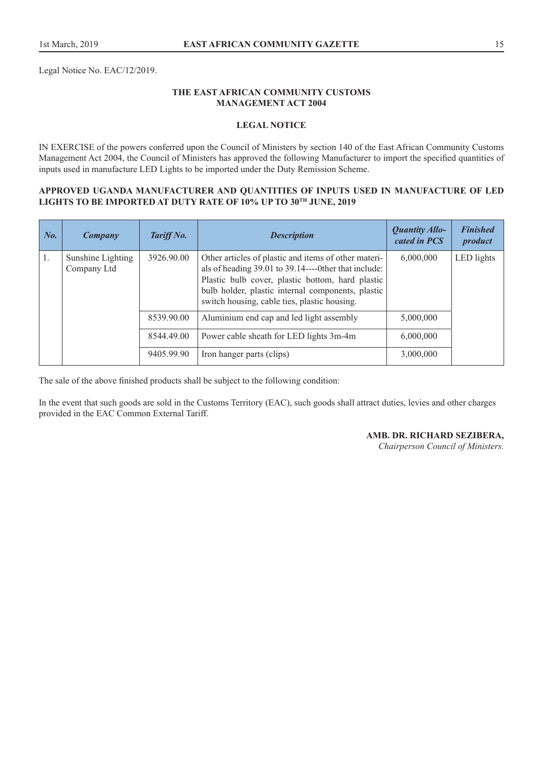Legal Notice No. EAC/12/2019.

## **THE EAST AFRICAN COMMUNITY CUSTOMS MANAGEMENT ACT 2004**

## **LEGAL NOTICE**

IN EXERCISE of the powers conferred upon the Council of Ministers by section 140 of the East African Community Customs Management Act 2004, the Council of Ministers has approved the following Manufacturer to import the specified quantities of inputs used in manufacture LED Lights to be imported under the Duty Remission Scheme.

#### **APPROVED UGANDA MANUFACTURER AND QUANTITIES OF INPUTS USED IN MANUFACTURE OF LED LIGHTS TO BE IMPORTED AT DUTY RATE OF 10% UP TO 30TH JUNE, 2019**

| No. | Company                          | Tariff No. | <b>Description</b>                                                                                                                                                                                            | <b>Quantity Allo-</b><br>cated in PCS | <b>Finished</b><br>product |
|-----|----------------------------------|------------|---------------------------------------------------------------------------------------------------------------------------------------------------------------------------------------------------------------|---------------------------------------|----------------------------|
| 1.  | Sunshine Lighting<br>Company Ltd | 3926.90.00 | Other articles of plastic and items of other materi-<br>Plastic bulb cover, plastic bottom, hard plastic<br>bulb holder, plastic internal components, plastic<br>switch housing, cable ties, plastic housing. | 6,000,000                             | LED lights                 |
|     |                                  | 8539.90.00 | Aluminium end cap and led light assembly                                                                                                                                                                      | 5,000,000                             |                            |
|     |                                  | 8544.49.00 | Power cable sheath for LED lights 3m-4m                                                                                                                                                                       | 6,000,000                             |                            |
|     |                                  | 9405.99.90 | Iron hanger parts (clips)                                                                                                                                                                                     | 3,000,000                             |                            |

The sale of the above finished products shall be subject to the following condition:

In the event that such goods are sold in the Customs Territory (EAC), such goods shall attract duties, levies and other charges provided in the EAC Common External Tariff.

**AMB. DR. RICHARD SEZIBERA,**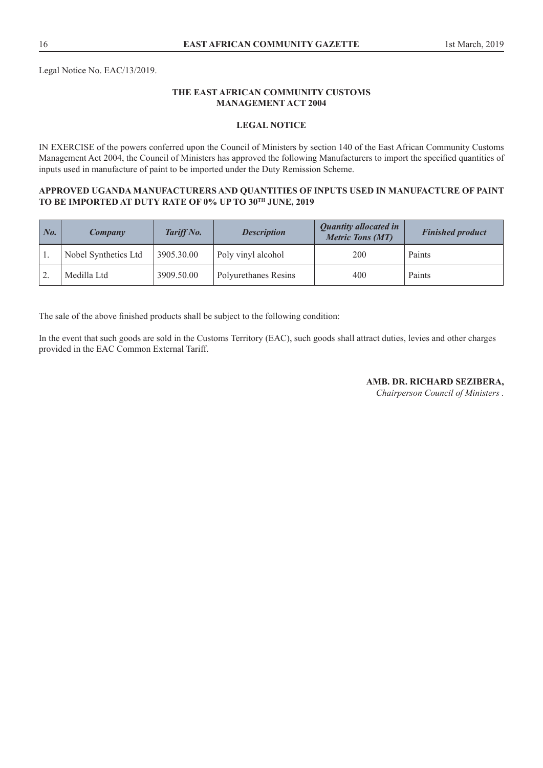Legal Notice No. EAC/13/2019.

## **THE EAST AFRICAN COMMUNITY CUSTOMS MANAGEMENT ACT 2004**

## **LEGAL NOTICE**

IN EXERCISE of the powers conferred upon the Council of Ministers by section 140 of the East African Community Customs Management Act 2004, the Council of Ministers has approved the following Manufacturers to import the specified quantities of inputs used in manufacture of paint to be imported under the Duty Remission Scheme.

#### **APPROVED UGANDA MANUFACTURERS AND QUANTITIES OF INPUTS USED IN MANUFACTURE OF PAINT TO BE IMPORTED AT DUTY RATE OF 0% UP TO 30TH JUNE, 2019**

| No. | Company              | Tariff No. | <b>Description</b>   | <b>Quantity allocated in</b><br><b>Metric Tons (MT)</b> | <b>Finished product</b> |
|-----|----------------------|------------|----------------------|---------------------------------------------------------|-------------------------|
|     | Nobel Synthetics Ltd | 3905.30.00 | Poly vinyl alcohol   | 200                                                     | Paints                  |
|     | Medilla Ltd          | 3909.50.00 | Polyurethanes Resins | 400                                                     | Paints                  |

The sale of the above finished products shall be subject to the following condition:

In the event that such goods are sold in the Customs Territory (EAC), such goods shall attract duties, levies and other charges provided in the EAC Common External Tariff.

**AMB. DR. RICHARD SEZIBERA,**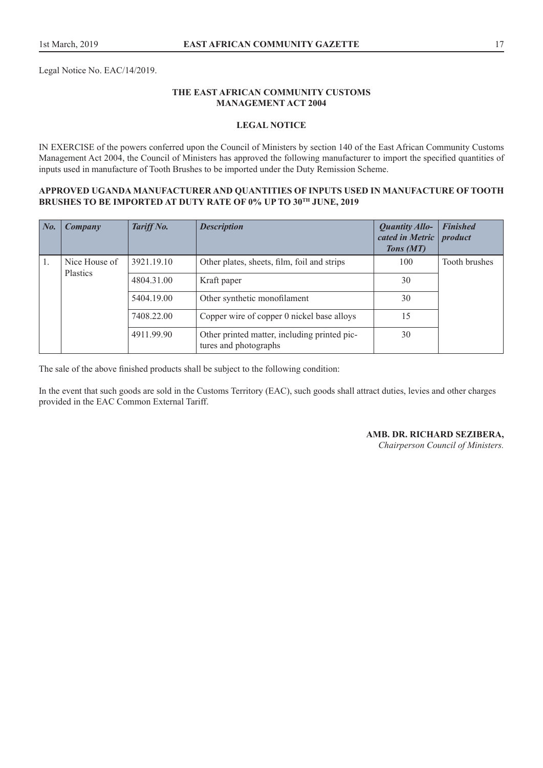Legal Notice No. EAC/14/2019.

## **THE EAST AFRICAN COMMUNITY CUSTOMS MANAGEMENT ACT 2004**

## **LEGAL NOTICE**

IN EXERCISE of the powers conferred upon the Council of Ministers by section 140 of the East African Community Customs Management Act 2004, the Council of Ministers has approved the following manufacturer to import the specified quantities of inputs used in manufacture of Tooth Brushes to be imported under the Duty Remission Scheme.

#### **APPROVED UGANDA MANUFACTURER AND QUANTITIES OF INPUTS USED IN MANUFACTURE OF TOOTH BRUSHES TO BE IMPORTED AT DUTY RATE OF 0% UP TO 30TH JUNE, 2019**

| $\mid$ No.     | Company                          | Tariff No. | <b>Description</b>                                                    | <b>Quantity Allo-</b><br>cated in Metric<br>Tons (MT) | <b>Finished</b><br>product |
|----------------|----------------------------------|------------|-----------------------------------------------------------------------|-------------------------------------------------------|----------------------------|
| $\mathbf{1}$ . | Nice House of<br><b>Plastics</b> | 3921.19.10 | Other plates, sheets, film, foil and strips                           | 100                                                   | Tooth brushes              |
|                |                                  | 4804.31.00 | Kraft paper                                                           | 30                                                    |                            |
|                |                                  | 5404.19.00 | Other synthetic monofilament                                          | 30                                                    |                            |
|                |                                  | 7408.22.00 | Copper wire of copper 0 nickel base alloys                            | 15                                                    |                            |
|                |                                  | 4911.99.90 | Other printed matter, including printed pic-<br>tures and photographs | 30                                                    |                            |

The sale of the above finished products shall be subject to the following condition:

In the event that such goods are sold in the Customs Territory (EAC), such goods shall attract duties, levies and other charges provided in the EAC Common External Tariff.

**AMB. DR. RICHARD SEZIBERA,**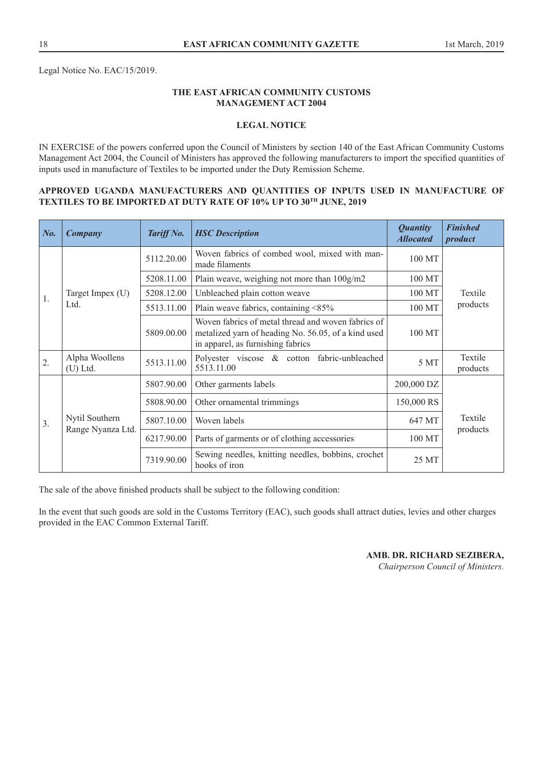Legal Notice No. EAC/15/2019.

## **THE EAST AFRICAN COMMUNITY CUSTOMS MANAGEMENT ACT 2004**

## **LEGAL NOTICE**

IN EXERCISE of the powers conferred upon the Council of Ministers by section 140 of the East African Community Customs Management Act 2004, the Council of Ministers has approved the following manufacturers to import the specified quantities of inputs used in manufacture of Textiles to be imported under the Duty Remission Scheme.

## **APPROVED UGANDA MANUFACTURERS AND QUANTITIES OF INPUTS USED IN MANUFACTURE OF TEXTILES TO BE IMPORTED AT DUTY RATE OF 10% UP TO 30TH JUNE, 2019**

| No.              | <b>Company</b>               | Tariff No. | <b>HSC</b> Description                                                                                                                         | <b>Quantity</b><br><b>Allocated</b> | <b>Finished</b><br>product |
|------------------|------------------------------|------------|------------------------------------------------------------------------------------------------------------------------------------------------|-------------------------------------|----------------------------|
|                  |                              | 5112.20.00 | Woven fabrics of combed wool, mixed with man-<br>made filaments                                                                                | 100 MT                              |                            |
|                  |                              | 5208.11.00 | Plain weave, weighing not more than $100g/m2$                                                                                                  | 100 MT                              |                            |
| 1.               | Target Impex (U)             | 5208.12.00 | Unbleached plain cotton weave                                                                                                                  | 100 MT                              | Textile                    |
|                  | Ltd.                         | 5513.11.00 | Plain weave fabrics, containing <85%                                                                                                           | 100 MT                              | products                   |
|                  |                              | 5809.00.00 | Woven fabrics of metal thread and woven fabrics of<br>metalized yarn of heading No. 56.05, of a kind used<br>in apparel, as furnishing fabrics | 100 MT                              |                            |
| 2.               | Alpha Woollens<br>$(U)$ Ltd. | 5513.11.00 | Polyester viscose & cotton fabric-unbleached<br>5513.11.00                                                                                     | 5 MT                                | Textile<br>products        |
|                  |                              | 5807.90.00 | Other garments labels                                                                                                                          | 200,000 DZ                          |                            |
|                  |                              | 5808.90.00 | Other ornamental trimmings                                                                                                                     | 150,000 RS                          |                            |
| $\mathfrak{Z}$ . | Nytil Southern               | 5807.10.00 | Woven labels                                                                                                                                   | 647 MT                              | Textile<br>products        |
|                  | Range Nyanza Ltd.            | 6217.90.00 | Parts of garments or of clothing accessories                                                                                                   | 100 MT                              |                            |
|                  |                              | 7319.90.00 | Sewing needles, knitting needles, bobbins, crochet<br>hooks of iron                                                                            | 25 MT                               |                            |

The sale of the above finished products shall be subject to the following condition:

In the event that such goods are sold in the Customs Territory (EAC), such goods shall attract duties, levies and other charges provided in the EAC Common External Tariff.

## **AMB. DR. RICHARD SEZIBERA,**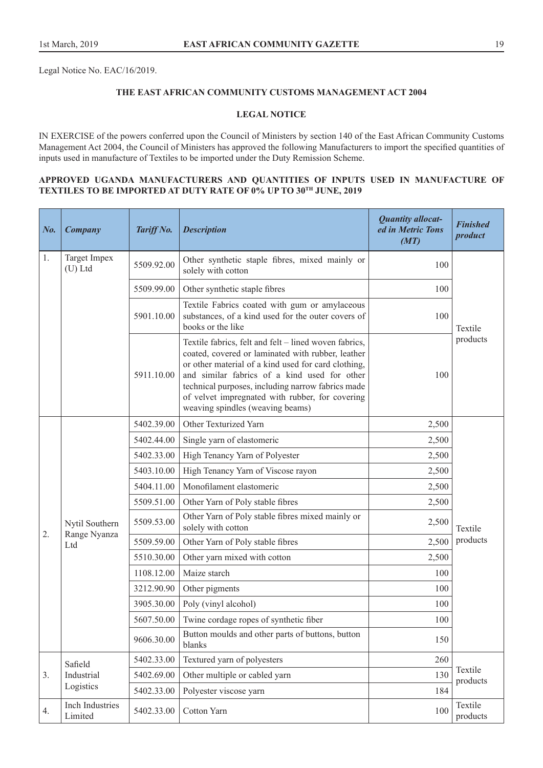Legal Notice No. EAC/16/2019.

## **THE EAST AFRICAN COMMUNITY CUSTOMS MANAGEMENT ACT 2004**

## **LEGAL NOTICE**

IN EXERCISE of the powers conferred upon the Council of Ministers by section 140 of the East African Community Customs Management Act 2004, the Council of Ministers has approved the following Manufacturers to import the specified quantities of inputs used in manufacture of Textiles to be imported under the Duty Remission Scheme.

## **APPROVED UGANDA MANUFACTURERS AND QUANTITIES OF INPUTS USED IN MANUFACTURE OF TEXTILES TO BE IMPORTED AT DUTY RATE OF 0% UP TO 30TH JUNE, 2019**

| No. | <b>Company</b>                                                                                                                         | Tariff No. | <b>Description</b>                                                     | <b>Quantity allocat-</b><br>ed in Metric Tons<br>(MT) | <b>Finished</b><br>product |
|-----|----------------------------------------------------------------------------------------------------------------------------------------|------------|------------------------------------------------------------------------|-------------------------------------------------------|----------------------------|
| 1.  | Target Impex<br>$(U)$ Ltd                                                                                                              | 5509.92.00 | Other synthetic staple fibres, mixed mainly or<br>solely with cotton   | 100                                                   |                            |
|     |                                                                                                                                        | 5509.99.00 | Other synthetic staple fibres                                          | 100                                                   |                            |
|     | Textile Fabrics coated with gum or amylaceous<br>substances, of a kind used for the outer covers of<br>5901.10.00<br>books or the like |            | 100                                                                    | Textile                                               |                            |
|     |                                                                                                                                        | 100        | products                                                               |                                                       |                            |
|     |                                                                                                                                        | 5402.39.00 | Other Texturized Yarn                                                  | 2,500                                                 |                            |
|     |                                                                                                                                        | 5402.44.00 | Single yarn of elastomeric                                             | 2,500                                                 |                            |
|     |                                                                                                                                        | 5402.33.00 | High Tenancy Yarn of Polyester                                         | 2,500                                                 |                            |
|     |                                                                                                                                        | 5403.10.00 | High Tenancy Yarn of Viscose rayon                                     | 2,500                                                 |                            |
|     |                                                                                                                                        | 5404.11.00 | Monofilament elastomeric                                               | 2,500                                                 |                            |
|     |                                                                                                                                        | 5509.51.00 | Other Yarn of Poly stable fibres                                       | 2,500                                                 |                            |
| 2.  | Nytil Southern                                                                                                                         | 5509.53.00 | Other Yarn of Poly stable fibres mixed mainly or<br>solely with cotton | 2,500                                                 | Textile                    |
|     | Range Nyanza<br>Ltd                                                                                                                    | 5509.59.00 | Other Yarn of Poly stable fibres                                       | 2,500                                                 | products                   |
|     |                                                                                                                                        | 5510.30.00 | Other yarn mixed with cotton                                           | 2,500                                                 |                            |
|     |                                                                                                                                        | 1108.12.00 | Maize starch                                                           | 100                                                   |                            |
|     |                                                                                                                                        | 3212.90.90 | Other pigments                                                         | 100                                                   |                            |
|     |                                                                                                                                        | 3905.30.00 | Poly (vinyl alcohol)                                                   | 100                                                   |                            |
|     |                                                                                                                                        | 5607.50.00 | Twine cordage ropes of synthetic fiber                                 | 100                                                   |                            |
|     |                                                                                                                                        | 9606.30.00 | Button moulds and other parts of buttons, button<br>blanks             | 150                                                   |                            |
|     | Safield                                                                                                                                | 5402.33.00 | Textured yarn of polyesters                                            | 260                                                   |                            |
| 3.  | Industrial                                                                                                                             | 5402.69.00 | Other multiple or cabled yarn                                          | 130                                                   | Textile<br>products        |
|     | Logistics                                                                                                                              | 5402.33.00 | Polyester viscose yarn                                                 | 184                                                   |                            |
| 4.  | <b>Inch Industries</b><br>Limited                                                                                                      | 5402.33.00 | Cotton Yarn                                                            | 100                                                   | Textile<br>products        |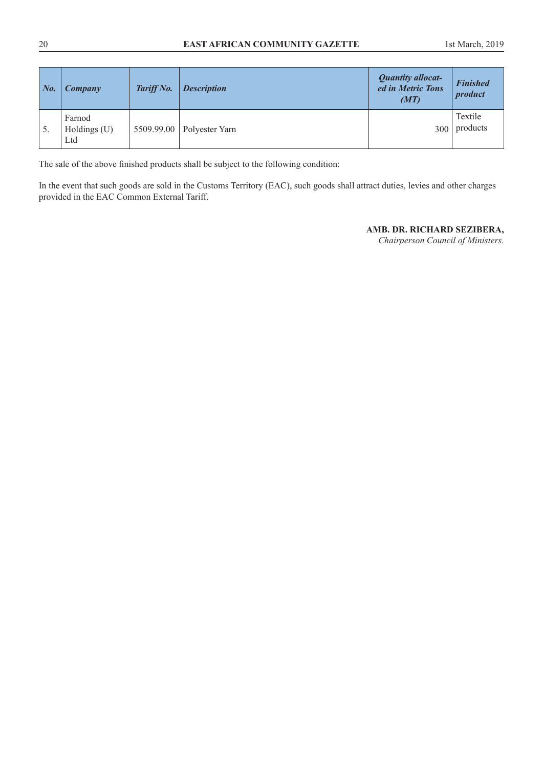| $N_{0}$ .       | Company                         | Tariff No. | <b>Description</b> | <b>Quantity allocat-</b><br>ed in Metric Tons<br>(MT) | <b>Finished</b><br>product |
|-----------------|---------------------------------|------------|--------------------|-------------------------------------------------------|----------------------------|
| $\mathcal{D}$ . | Farnod<br>Holdings $(U)$<br>Ltd | 5509.99.00 | Polyester Yarn     | 300                                                   | Textile<br>products        |

The sale of the above finished products shall be subject to the following condition:

In the event that such goods are sold in the Customs Territory (EAC), such goods shall attract duties, levies and other charges provided in the EAC Common External Tariff.

## **AMB. DR. RICHARD SEZIBERA,**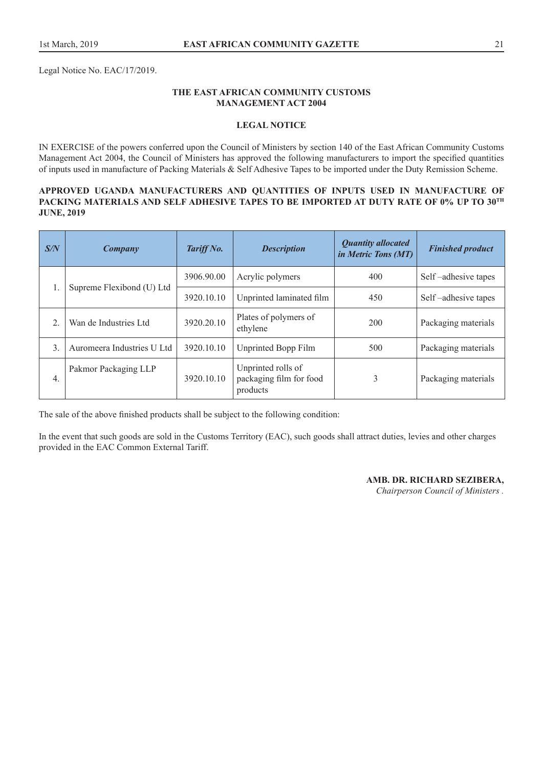Legal Notice No. EAC/17/2019.

## **THE EAST AFRICAN COMMUNITY CUSTOMS MANAGEMENT ACT 2004**

## **LEGAL NOTICE**

IN EXERCISE of the powers conferred upon the Council of Ministers by section 140 of the East African Community Customs Management Act 2004, the Council of Ministers has approved the following manufacturers to import the specified quantities of inputs used in manufacture of Packing Materials & Self Adhesive Tapes to be imported under the Duty Remission Scheme.

## **APPROVED UGANDA MANUFACTURERS AND QUANTITIES OF INPUTS USED IN MANUFACTURE OF PACKING MATERIALS AND SELF ADHESIVE TAPES TO BE IMPORTED AT DUTY RATE OF 0% UP TO 30TH JUNE, 2019**

| S/N              | Company                    | Tariff No. | <b>Description</b>                                        | <b>Quantity allocated</b><br>in Metric Tons (MT) | <b>Finished product</b> |
|------------------|----------------------------|------------|-----------------------------------------------------------|--------------------------------------------------|-------------------------|
|                  | Supreme Flexibond (U) Ltd  | 3906.90.00 | Acrylic polymers                                          | 400                                              | Self-adhesive tapes     |
|                  |                            | 3920.10.10 | Unprinted laminated film                                  | 450                                              | Self-adhesive tapes     |
|                  | Wan de Industries Ltd      | 3920.20.10 | Plates of polymers of<br>ethylene                         | 200                                              | Packaging materials     |
| 3.               | Auromeera Industries U Ltd | 3920.10.10 | Unprinted Bopp Film                                       | 500                                              | Packaging materials     |
| $\overline{4}$ . | Pakmor Packaging LLP       | 3920.10.10 | Unprinted rolls of<br>packaging film for food<br>products | 3                                                | Packaging materials     |

The sale of the above finished products shall be subject to the following condition:

In the event that such goods are sold in the Customs Territory (EAC), such goods shall attract duties, levies and other charges provided in the EAC Common External Tariff.

## **AMB. DR. RICHARD SEZIBERA,**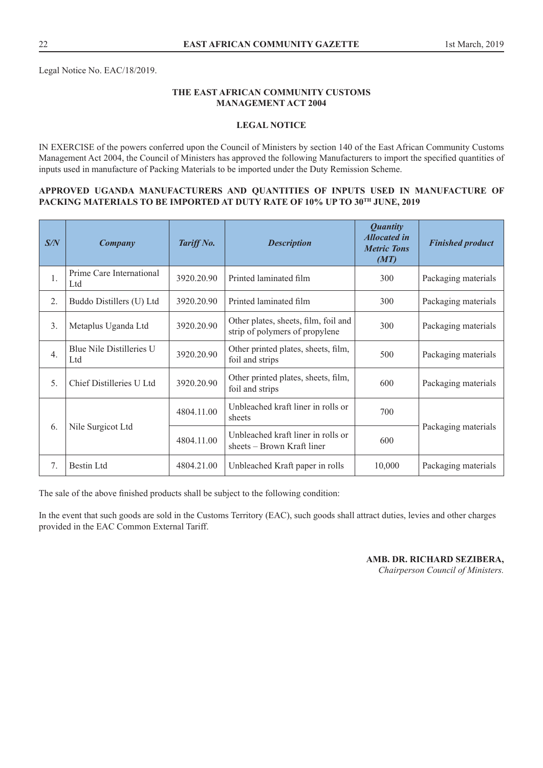Legal Notice No. EAC/18/2019.

## **THE EAST AFRICAN COMMUNITY CUSTOMS MANAGEMENT ACT 2004**

## **LEGAL NOTICE**

IN EXERCISE of the powers conferred upon the Council of Ministers by section 140 of the East African Community Customs Management Act 2004, the Council of Ministers has approved the following Manufacturers to import the specified quantities of inputs used in manufacture of Packing Materials to be imported under the Duty Remission Scheme.

## **APPROVED UGANDA MANUFACTURERS AND QUANTITIES OF INPUTS USED IN MANUFACTURE OF PACKING MATERIALS TO BE IMPORTED AT DUTY RATE OF 10% UP TO 30TH JUNE, 2019**

| S/N              | Company                         | Tariff No. | <b>Description</b>                                                     | <b>Quantity</b><br><b>Allocated in</b><br><b>Metric Tons</b><br>(MT) | <b>Finished product</b> |
|------------------|---------------------------------|------------|------------------------------------------------------------------------|----------------------------------------------------------------------|-------------------------|
| $\mathbf{1}$ .   | Prime Care International<br>Ltd | 3920.20.90 | Printed laminated film                                                 | 300                                                                  | Packaging materials     |
| 2.               | Buddo Distillers (U) Ltd        | 3920.20.90 | Printed laminated film                                                 | 300                                                                  | Packaging materials     |
| 3.               | Metaplus Uganda Ltd             | 3920.20.90 | Other plates, sheets, film, foil and<br>strip of polymers of propylene | 300                                                                  | Packaging materials     |
| $\overline{4}$ . | Blue Nile Distilleries U<br>Ltd | 3920.20.90 | Other printed plates, sheets, film,<br>foil and strips                 | 500                                                                  | Packaging materials     |
| 5.               | Chief Distilleries U Ltd        | 3920.20.90 | Other printed plates, sheets, film,<br>foil and strips                 | 600                                                                  | Packaging materials     |
|                  |                                 | 4804.11.00 | Unbleached kraft liner in rolls or<br>sheets                           | 700                                                                  |                         |
| 6.               | Nile Surgicot Ltd               | 4804.11.00 | Unbleached kraft liner in rolls or<br>sheets – Brown Kraft liner       | 600                                                                  | Packaging materials     |
| 7.               | <b>Bestin Ltd</b>               | 4804.21.00 | Unbleached Kraft paper in rolls                                        | 10,000                                                               | Packaging materials     |

The sale of the above finished products shall be subject to the following condition:

In the event that such goods are sold in the Customs Territory (EAC), such goods shall attract duties, levies and other charges provided in the EAC Common External Tariff.

## **AMB. DR. RICHARD SEZIBERA,**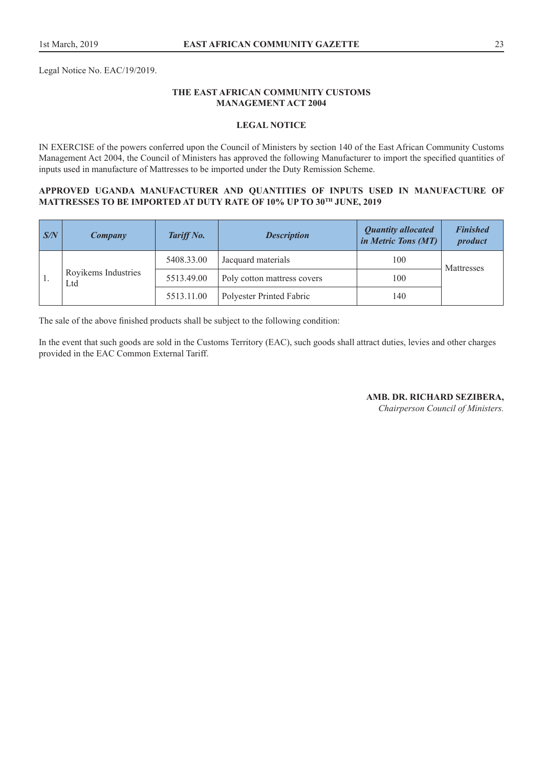Legal Notice No. EAC/19/2019.

## **THE EAST AFRICAN COMMUNITY CUSTOMS MANAGEMENT ACT 2004**

## **LEGAL NOTICE**

IN EXERCISE of the powers conferred upon the Council of Ministers by section 140 of the East African Community Customs Management Act 2004, the Council of Ministers has approved the following Manufacturer to import the specified quantities of inputs used in manufacture of Mattresses to be imported under the Duty Remission Scheme.

#### **APPROVED UGANDA MANUFACTURER AND QUANTITIES OF INPUTS USED IN MANUFACTURE OF MATTRESSES TO BE IMPORTED AT DUTY RATE OF 10% UP TO 30TH JUNE, 2019**

| $\sqrt{S/N}$ | Company                    | Tariff No. | <b>Description</b>          | <b>Quantity allocated</b><br><i>in Metric Tons (MT)</i> | <b>Finished</b><br>product |
|--------------|----------------------------|------------|-----------------------------|---------------------------------------------------------|----------------------------|
|              | Royikems Industries<br>Ltd | 5408.33.00 | Jacquard materials          | 100                                                     | Mattresses                 |
|              |                            | 5513.49.00 | Poly cotton mattress covers | 100                                                     |                            |
|              |                            | 5513.11.00 | Polyester Printed Fabric    | 140                                                     |                            |

The sale of the above finished products shall be subject to the following condition:

In the event that such goods are sold in the Customs Territory (EAC), such goods shall attract duties, levies and other charges provided in the EAC Common External Tariff.

**AMB. DR. RICHARD SEZIBERA,**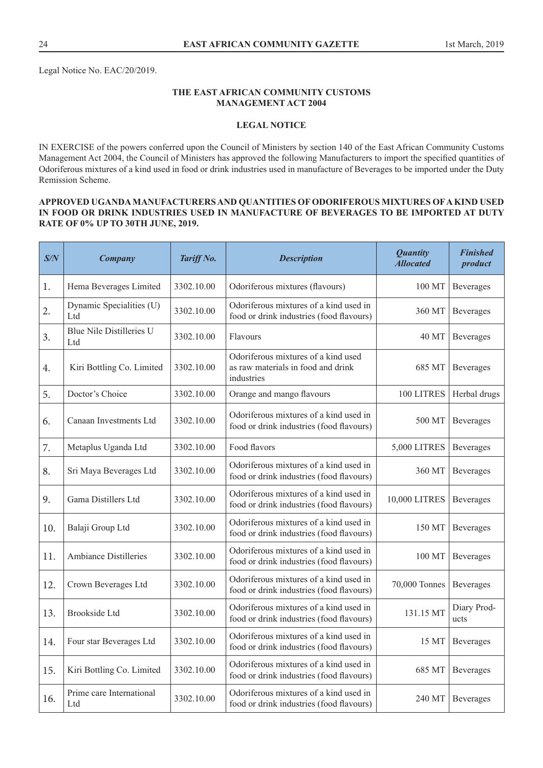Legal Notice No. EAC/20/2019.

## **THE EAST AFRICAN COMMUNITY CUSTOMS MANAGEMENT ACT 2004**

## **LEGAL NOTICE**

IN EXERCISE of the powers conferred upon the Council of Ministers by section 140 of the East African Community Customs Management Act 2004, the Council of Ministers has approved the following Manufacturers to import the specified quantities of Odoriferous mixtures of a kind used in food or drink industries used in manufacture of Beverages to be imported under the Duty Remission Scheme.

## **APPROVED UGANDA MANUFACTURERS AND QUANTITIES OF ODORIFEROUS MIXTURES OF A KIND USED IN FOOD OR DRINK INDUSTRIES USED IN MANUFACTURE OF BEVERAGES TO BE IMPORTED AT DUTY RATE OF 0% UP TO 30TH JUNE, 2019.**

| S/N | <b>Company</b>                  | Tariff No. | <b>Description</b>                                                                      | <b>Quantity</b><br><b>Allocated</b> | <b>Finished</b><br>product |
|-----|---------------------------------|------------|-----------------------------------------------------------------------------------------|-------------------------------------|----------------------------|
| 1.  | Hema Beverages Limited          | 3302.10.00 | Odoriferous mixtures (flavours)                                                         | 100 MT                              | Beverages                  |
| 2.  | Dynamic Specialities (U)<br>Ltd | 3302.10.00 | Odoriferous mixtures of a kind used in<br>food or drink industries (food flavours)      | 360 MT                              | Beverages                  |
| 3.  | Blue Nile Distilleries U<br>Ltd | 3302.10.00 | Flavours                                                                                | 40 MT                               | Beverages                  |
| 4.  | Kiri Bottling Co. Limited       | 3302.10.00 | Odoriferous mixtures of a kind used<br>as raw materials in food and drink<br>industries | 685 MT                              | Beverages                  |
| 5.  | Doctor's Choice                 | 3302.10.00 | Orange and mango flavours                                                               | 100 LITRES                          | Herbal drugs               |
| 6.  | Canaan Investments Ltd          | 3302.10.00 | Odoriferous mixtures of a kind used in<br>food or drink industries (food flavours)      | 500 MT                              | Beverages                  |
| 7.  | Metaplus Uganda Ltd             | 3302.10.00 | Food flavors                                                                            | 5,000 LITRES                        | Beverages                  |
| 8.  | Sri Maya Beverages Ltd          | 3302.10.00 | Odoriferous mixtures of a kind used in<br>food or drink industries (food flavours)      | 360 MT                              | Beverages                  |
| 9.  | Gama Distillers Ltd             | 3302.10.00 | Odoriferous mixtures of a kind used in<br>food or drink industries (food flavours)      | 10,000 LITRES                       | Beverages                  |
| 10. | Balaji Group Ltd                | 3302.10.00 | Odoriferous mixtures of a kind used in<br>food or drink industries (food flavours)      | 150 MT                              | Beverages                  |
| 11. | <b>Ambiance Distilleries</b>    | 3302.10.00 | Odoriferous mixtures of a kind used in<br>food or drink industries (food flavours)      | 100 MT                              | Beverages                  |
| 12. | Crown Beverages Ltd             | 3302.10.00 | Odoriferous mixtures of a kind used in<br>food or drink industries (food flavours)      | 70,000 Tonnes                       | Beverages                  |
| 13. | <b>Brookside Ltd</b>            | 3302.10.00 | Odoriferous mixtures of a kind used in<br>food or drink industries (food flavours)      | 131.15 MT                           | Diary Prod-<br>ucts        |
| 14. | Four star Beverages Ltd         | 3302.10.00 | Odoriferous mixtures of a kind used in<br>food or drink industries (food flavours)      | 15 MT                               | Beverages                  |
| 15. | Kiri Bottling Co. Limited       | 3302.10.00 | Odoriferous mixtures of a kind used in<br>food or drink industries (food flavours)      | 685 MT                              | Beverages                  |
| 16. | Prime care International<br>Ltd | 3302.10.00 | Odoriferous mixtures of a kind used in<br>food or drink industries (food flavours)      | 240 MT                              | Beverages                  |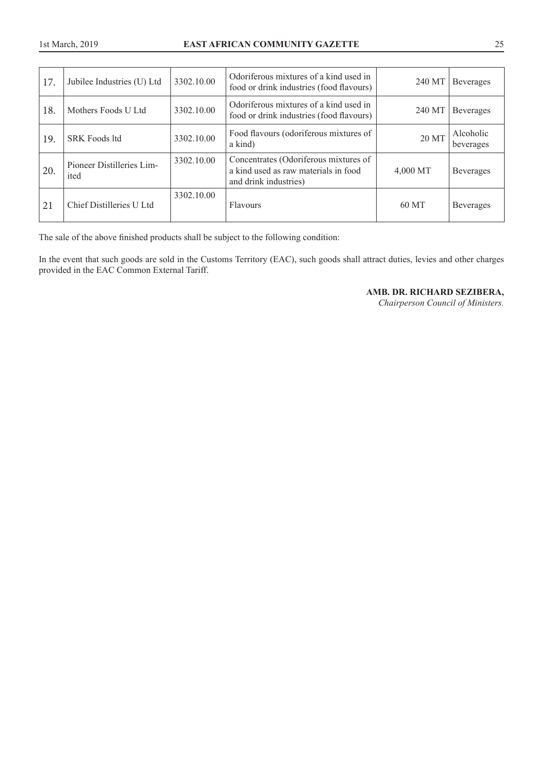| 17. | Jubilee Industries (U) Ltd        | 3302.10.00 | Odoriferous mixtures of a kind used in<br>food or drink industries (food flavours)                     | 240 MT   | Beverages              |
|-----|-----------------------------------|------------|--------------------------------------------------------------------------------------------------------|----------|------------------------|
| 18. | Mothers Foods U Ltd               | 3302.10.00 | Odoriferous mixtures of a kind used in<br>food or drink industries (food flavours)                     | 240 MT   | <b>Beverages</b>       |
| 19. | <b>SRK Foods ltd</b>              | 3302.10.00 | Food flavours (odoriferous mixtures of<br>a kind)                                                      | 20 MT    | Alcoholic<br>beverages |
| 20. | Pioneer Distilleries Lim-<br>ited | 3302.10.00 | Concentrates (Odoriferous mixtures of<br>a kind used as raw materials in food<br>and drink industries) | 4,000 MT | <b>Beverages</b>       |
| 21  | Chief Distilleries U Ltd          | 3302.10.00 | <b>Flavours</b>                                                                                        | 60 MT    | <b>Beverages</b>       |

The sale of the above finished products shall be subject to the following condition:

In the event that such goods are sold in the Customs Territory (EAC), such goods shall attract duties, levies and other charges provided in the EAC Common External Tariff.

**AMB. DR. RICHARD SEZIBERA,**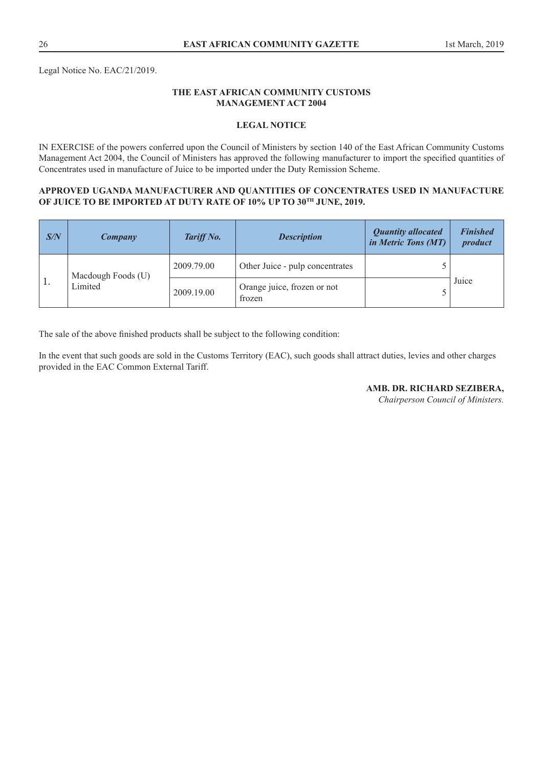Legal Notice No. EAC/21/2019.

## **THE EAST AFRICAN COMMUNITY CUSTOMS MANAGEMENT ACT 2004**

## **LEGAL NOTICE**

IN EXERCISE of the powers conferred upon the Council of Ministers by section 140 of the East African Community Customs Management Act 2004, the Council of Ministers has approved the following manufacturer to import the specified quantities of Concentrates used in manufacture of Juice to be imported under the Duty Remission Scheme.

#### **APPROVED UGANDA MANUFACTURER AND QUANTITIES OF CONCENTRATES USED IN MANUFACTURE OF JUICE TO BE IMPORTED AT DUTY RATE OF 10% UP TO 30TH JUNE, 2019.**

| S/N            | Company                       | Tariff No. | <b>Description</b>                    | <b>Quantity allocated</b><br>in Metric Tons (MT) | <b>Finished</b><br>product |
|----------------|-------------------------------|------------|---------------------------------------|--------------------------------------------------|----------------------------|
|                | Macdough Foods (U)<br>Limited | 2009.79.00 | Other Juice - pulp concentrates       |                                                  |                            |
| $^{\prime}$ 1. |                               | 2009.19.00 | Orange juice, frozen or not<br>frozen |                                                  | Juice                      |

The sale of the above finished products shall be subject to the following condition:

In the event that such goods are sold in the Customs Territory (EAC), such goods shall attract duties, levies and other charges provided in the EAC Common External Tariff.

**AMB. DR. RICHARD SEZIBERA,**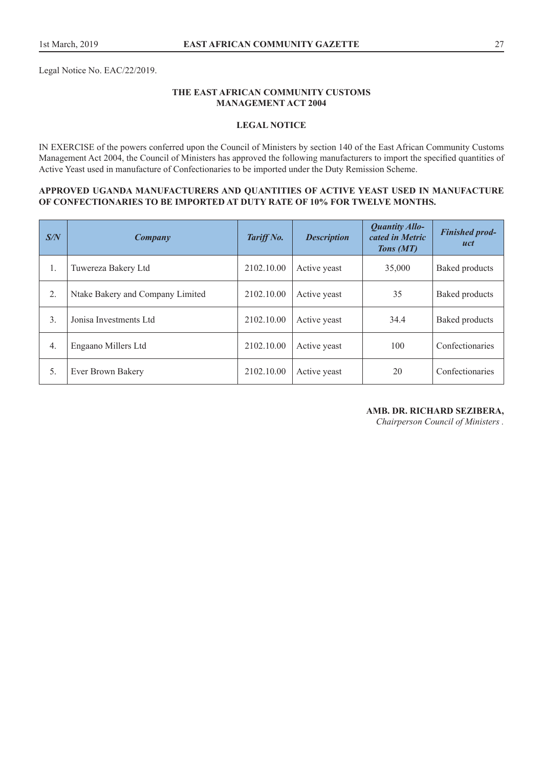Legal Notice No. EAC/22/2019.

## **THE EAST AFRICAN COMMUNITY CUSTOMS MANAGEMENT ACT 2004**

## **LEGAL NOTICE**

IN EXERCISE of the powers conferred upon the Council of Ministers by section 140 of the East African Community Customs Management Act 2004, the Council of Ministers has approved the following manufacturers to import the specified quantities of Active Yeast used in manufacture of Confectionaries to be imported under the Duty Remission Scheme.

## **APPROVED UGANDA MANUFACTURERS AND QUANTITIES OF ACTIVE YEAST USED IN MANUFACTURE OF CONFECTIONARIES TO BE IMPORTED AT DUTY RATE OF 10% FOR TWELVE MONTHS.**

| S/N              | Company                          | Tariff No. | <b>Description</b> | <b>Quantity Allo-</b><br>cated in Metric<br>Tons (MT) | <b>Finished prod-</b><br>uct |
|------------------|----------------------------------|------------|--------------------|-------------------------------------------------------|------------------------------|
| 1.               | Tuwereza Bakery Ltd              | 2102.10.00 | Active yeast       | 35,000                                                | <b>Baked products</b>        |
| 2.               | Ntake Bakery and Company Limited | 2102.10.00 | Active yeast       | 35                                                    | <b>Baked products</b>        |
| 3.               | Jonisa Investments Ltd.          | 2102.10.00 | Active yeast       | 34.4                                                  | <b>Baked products</b>        |
| $\overline{4}$ . | Engaano Millers Ltd              | 2102.10.00 | Active yeast       | 100                                                   | Confectionaries              |
| 5.               | Ever Brown Bakery                | 2102.10.00 | Active yeast       | 20                                                    | Confectionaries              |

**AMB. DR. RICHARD SEZIBERA,**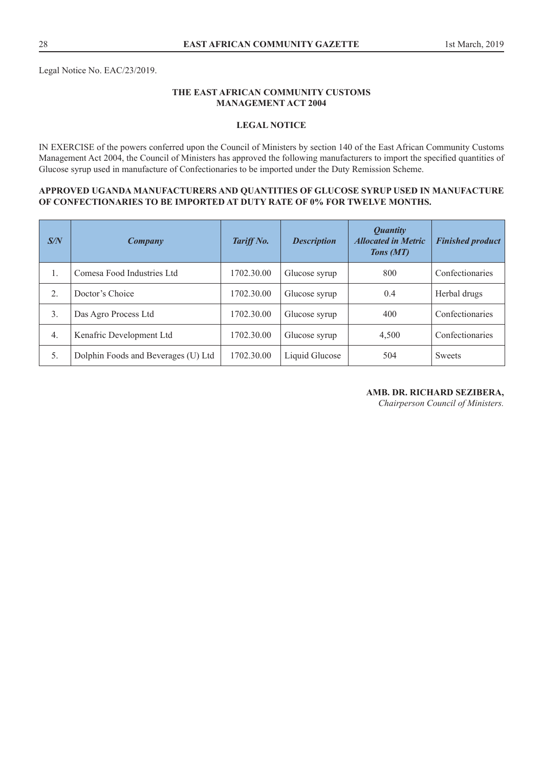Legal Notice No. EAC/23/2019.

## **THE EAST AFRICAN COMMUNITY CUSTOMS MANAGEMENT ACT 2004**

## **LEGAL NOTICE**

IN EXERCISE of the powers conferred upon the Council of Ministers by section 140 of the East African Community Customs Management Act 2004, the Council of Ministers has approved the following manufacturers to import the specified quantities of Glucose syrup used in manufacture of Confectionaries to be imported under the Duty Remission Scheme.

#### **APPROVED UGANDA MANUFACTURERS AND QUANTITIES OF GLUCOSE SYRUP USED IN MANUFACTURE OF CONFECTIONARIES TO BE IMPORTED AT DUTY RATE OF 0% FOR TWELVE MONTHS.**

| S/N              | Company                             | Tariff No. | <b>Description</b> | <i>Quantity</i><br><b>Allocated in Metric</b><br>Tons (MT) | <b>Finished product</b> |
|------------------|-------------------------------------|------------|--------------------|------------------------------------------------------------|-------------------------|
| 1.               | Comesa Food Industries Ltd          | 1702.30.00 | Glucose syrup      | 800                                                        | Confectionaries         |
| $\overline{2}$ . | Doctor's Choice                     | 1702.30.00 | Glucose syrup      | 0.4                                                        | Herbal drugs            |
| 3.               | Das Agro Process Ltd                | 1702.30.00 | Glucose syrup      | 400                                                        | Confectionaries         |
| $\overline{4}$ . | Kenafric Development Ltd            | 1702.30.00 | Glucose syrup      | 4,500                                                      | Confectionaries         |
| 5.               | Dolphin Foods and Beverages (U) Ltd | 1702.30.00 | Liquid Glucose     | 504                                                        | Sweets                  |

#### **AMB. DR. RICHARD SEZIBERA,**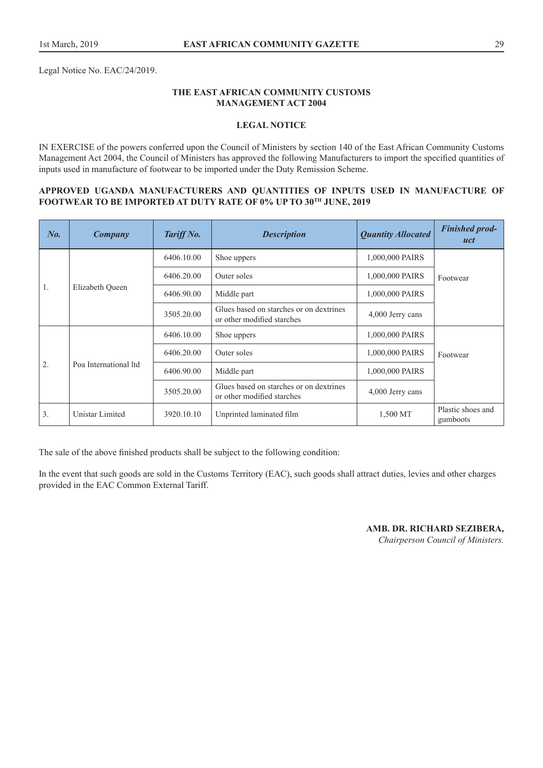Legal Notice No. EAC/24/2019.

## **THE EAST AFRICAN COMMUNITY CUSTOMS MANAGEMENT ACT 2004**

## **LEGAL NOTICE**

IN EXERCISE of the powers conferred upon the Council of Ministers by section 140 of the East African Community Customs Management Act 2004, the Council of Ministers has approved the following Manufacturers to import the specified quantities of inputs used in manufacture of footwear to be imported under the Duty Remission Scheme.

#### **APPROVED UGANDA MANUFACTURERS AND QUANTITIES OF INPUTS USED IN MANUFACTURE OF FOOTWEAR TO BE IMPORTED AT DUTY RATE OF 0% UP TO 30TH JUNE, 2019**

| No. | Company               | Tariff No. | <b>Description</b>                                                    | <b>Quantity Allocated</b> | <b>Finished prod-</b><br>uct  |
|-----|-----------------------|------------|-----------------------------------------------------------------------|---------------------------|-------------------------------|
|     |                       | 6406.10.00 | Shoe uppers                                                           | 1,000,000 PAIRS           |                               |
|     |                       | 6406.20.00 | Outer soles                                                           | 1,000,000 PAIRS           | Footwear                      |
| Ι.  | Elizabeth Queen       | 6406.90.00 | Middle part                                                           | 1,000,000 PAIRS           |                               |
|     |                       | 3505.20.00 | Glues based on starches or on dextrines<br>or other modified starches | 4,000 Jerry cans          |                               |
|     |                       | 6406.10.00 | Shoe uppers                                                           | 1,000,000 PAIRS           |                               |
|     |                       | 6406.20.00 | Outer soles                                                           | 1,000,000 PAIRS           | Footwear                      |
| 2.  | Poa International Itd | 6406.90.00 | Middle part                                                           | 1,000,000 PAIRS           |                               |
|     |                       | 3505.20.00 | Glues based on starches or on dextrines<br>or other modified starches | 4,000 Jerry cans          |                               |
| 3.  | Unistar Limited       | 3920.10.10 | Unprinted laminated film                                              | 1,500 MT                  | Plastic shoes and<br>gumboots |

The sale of the above finished products shall be subject to the following condition:

In the event that such goods are sold in the Customs Territory (EAC), such goods shall attract duties, levies and other charges provided in the EAC Common External Tariff.

> **AMB. DR. RICHARD SEZIBERA,**  *Chairperson Council of Ministers.*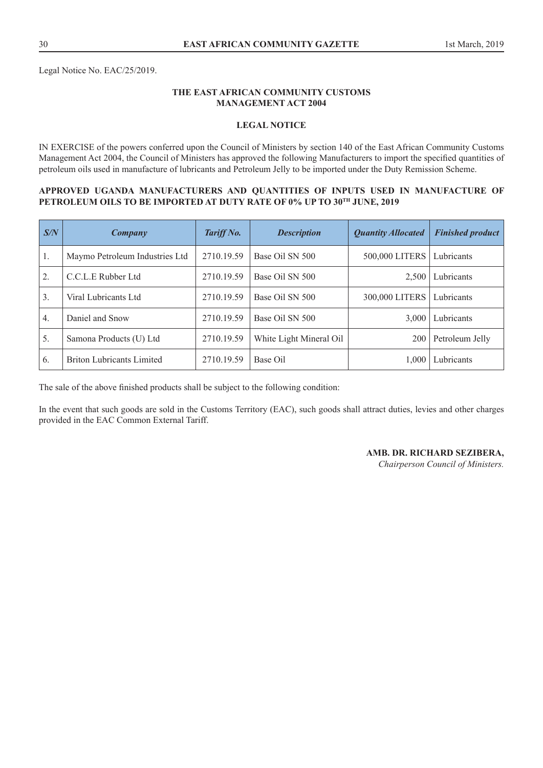Legal Notice No. EAC/25/2019.

## **THE EAST AFRICAN COMMUNITY CUSTOMS MANAGEMENT ACT 2004**

## **LEGAL NOTICE**

IN EXERCISE of the powers conferred upon the Council of Ministers by section 140 of the East African Community Customs Management Act 2004, the Council of Ministers has approved the following Manufacturers to import the specified quantities of petroleum oils used in manufacture of lubricants and Petroleum Jelly to be imported under the Duty Remission Scheme.

#### **APPROVED UGANDA MANUFACTURERS AND QUANTITIES OF INPUTS USED IN MANUFACTURE OF PETROLEUM OILS TO BE IMPORTED AT DUTY RATE OF 0% UP TO 30TH JUNE, 2019**

| S/N              | Company                          | Tariff No. | <b>Description</b>      | <b>Quantity Allocated</b> | <b>Finished product</b> |
|------------------|----------------------------------|------------|-------------------------|---------------------------|-------------------------|
| 1.               | Maymo Petroleum Industries Ltd   | 2710.19.59 | Base Oil SN 500         | 500,000 LITERS            | Lubricants              |
| 2.               | C.C.L.E Rubber Ltd               | 2710.19.59 | Base Oil SN 500         | 2,500                     | Lubricants              |
| 3 <sub>1</sub>   | Viral Lubricants Ltd             | 2710.19.59 | Base Oil SN 500         | 300,000 LITERS            | Lubricants              |
| $\overline{4}$ . | Daniel and Snow                  | 2710.19.59 | Base Oil SN 500         | 3,000                     | Lubricants              |
| 5.               | Samona Products (U) Ltd          | 2710.19.59 | White Light Mineral Oil | 200                       | Petroleum Jelly         |
| 6.               | <b>Briton Lubricants Limited</b> | 2710.19.59 | Base Oil                | 1.000                     | Lubricants              |

The sale of the above finished products shall be subject to the following condition:

In the event that such goods are sold in the Customs Territory (EAC), such goods shall attract duties, levies and other charges provided in the EAC Common External Tariff.

#### **AMB. DR. RICHARD SEZIBERA,**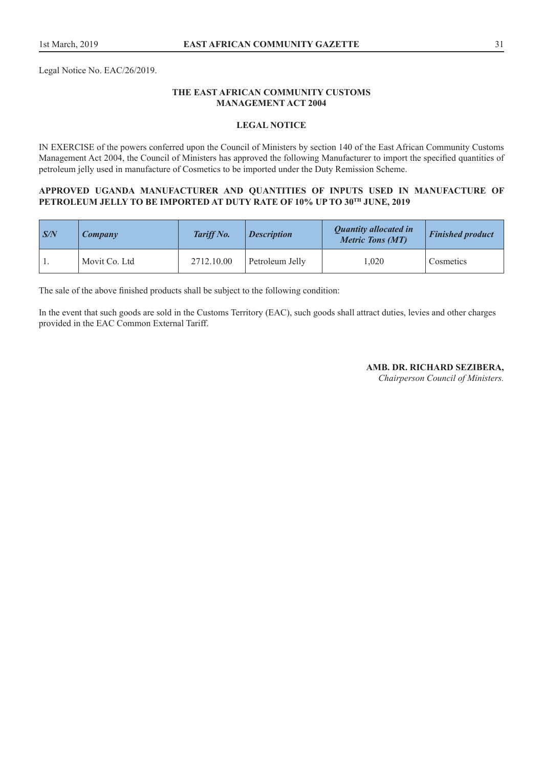Legal Notice No. EAC/26/2019.

## **THE EAST AFRICAN COMMUNITY CUSTOMS MANAGEMENT ACT 2004**

## **LEGAL NOTICE**

IN EXERCISE of the powers conferred upon the Council of Ministers by section 140 of the East African Community Customs Management Act 2004, the Council of Ministers has approved the following Manufacturer to import the specified quantities of petroleum jelly used in manufacture of Cosmetics to be imported under the Duty Remission Scheme.

#### **APPROVED UGANDA MANUFACTURER AND QUANTITIES OF INPUTS USED IN MANUFACTURE OF PETROLEUM JELLY TO BE IMPORTED AT DUTY RATE OF 10% UP TO 30TH JUNE, 2019**

| $\mathsf{S/N}$ | <b>Company</b> | Tariff No. | <b>Description</b> | <b>Quantity allocated in</b><br><b>Metric Tons (MT)</b> | <b>Finished product</b> |
|----------------|----------------|------------|--------------------|---------------------------------------------------------|-------------------------|
|                | Movit Co. Ltd  | 2712.10.00 | Petroleum Jelly    | .020                                                    | Cosmetics               |

The sale of the above finished products shall be subject to the following condition:

In the event that such goods are sold in the Customs Territory (EAC), such goods shall attract duties, levies and other charges provided in the EAC Common External Tariff.

## **AMB. DR. RICHARD SEZIBERA,**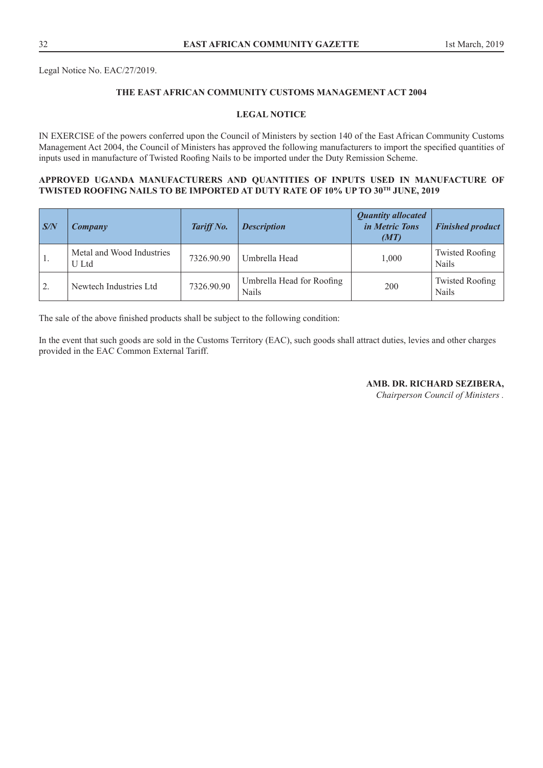Legal Notice No. EAC/27/2019.

# **THE EAST AFRICAN COMMUNITY CUSTOMS MANAGEMENT ACT 2004**

## **LEGAL NOTICE**

IN EXERCISE of the powers conferred upon the Council of Ministers by section 140 of the East African Community Customs Management Act 2004, the Council of Ministers has approved the following manufacturers to import the specified quantities of inputs used in manufacture of Twisted Roofing Nails to be imported under the Duty Remission Scheme.

## **APPROVED UGANDA MANUFACTURERS AND QUANTITIES OF INPUTS USED IN MANUFACTURE OF TWISTED ROOFING NAILS TO BE IMPORTED AT DUTY RATE OF 10% UP TO 30TH JUNE, 2019**

| $\sqrt{S/N}$ | <b>Company</b>                     | Tariff No. | <b>Description</b>                        | <b>Quantity allocated</b><br><i>in Metric Tons</i><br>(MT) | <b>Finished product</b>                |
|--------------|------------------------------------|------------|-------------------------------------------|------------------------------------------------------------|----------------------------------------|
| -1.          | Metal and Wood Industries<br>U Ltd | 7326.90.90 | Umbrella Head                             | 1.000                                                      | <b>Twisted Roofing</b><br><b>Nails</b> |
| 2.           | Newtech Industries Ltd             | 7326.90.90 | Umbrella Head for Roofing<br><b>Nails</b> | 200                                                        | <b>Twisted Roofing</b><br><b>Nails</b> |

The sale of the above finished products shall be subject to the following condition:

In the event that such goods are sold in the Customs Territory (EAC), such goods shall attract duties, levies and other charges provided in the EAC Common External Tariff.

**AMB. DR. RICHARD SEZIBERA,**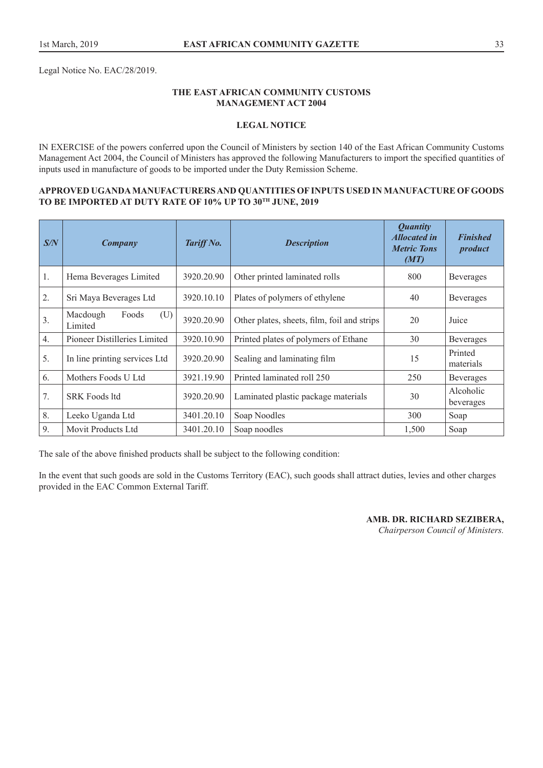Legal Notice No. EAC/28/2019.

## **THE EAST AFRICAN COMMUNITY CUSTOMS MANAGEMENT ACT 2004**

## **LEGAL NOTICE**

IN EXERCISE of the powers conferred upon the Council of Ministers by section 140 of the East African Community Customs Management Act 2004, the Council of Ministers has approved the following Manufacturers to import the specified quantities of inputs used in manufacture of goods to be imported under the Duty Remission Scheme.

## **APPROVED UGANDA MANUFACTURERS AND QUANTITIES OF INPUTS USED IN MANUFACTURE OF GOODS TO BE IMPORTED AT DUTY RATE OF 10% UP TO 30TH JUNE, 2019**

| S/N | <b>Company</b>                                                         | Tariff No. | <b>Description</b>                          | <i><b>Quantity</b></i><br><b>Allocated in</b><br><b>Metric Tons</b><br>(MT) | <b>Finished</b><br>product |
|-----|------------------------------------------------------------------------|------------|---------------------------------------------|-----------------------------------------------------------------------------|----------------------------|
| 1.  | Hema Beverages Limited                                                 | 3920.20.90 | Other printed laminated rolls               | 800                                                                         | <b>Beverages</b>           |
| 2.  | 3920.10.10<br>Sri Maya Beverages Ltd<br>Plates of polymers of ethylene |            | 40                                          | Beverages                                                                   |                            |
| 3.  | Macdough<br>Foods<br>(U)<br>Limited                                    | 3920.20.90 | Other plates, sheets, film, foil and strips | 20                                                                          | Juice                      |
| 4.  | Pioneer Distilleries Limited                                           | 3920.10.90 | Printed plates of polymers of Ethane        | 30                                                                          | <b>Beverages</b>           |
| 5.  | In line printing services Ltd                                          | 3920.20.90 | Sealing and laminating film                 | 15                                                                          | Printed<br>materials       |
| 6.  | Mothers Foods U Ltd                                                    | 3921.19.90 | Printed laminated roll 250                  | 250                                                                         | <b>Beverages</b>           |
| 7.  | <b>SRK Foods ltd</b>                                                   | 3920.20.90 | Laminated plastic package materials         | 30                                                                          | Alcoholic<br>beverages     |
| 8.  | Leeko Uganda Ltd                                                       | 3401.20.10 | Soap Noodles                                | 300                                                                         | Soap                       |
| 9.  | Movit Products Ltd                                                     | 3401.20.10 | Soap noodles                                | 1,500                                                                       | Soap                       |

The sale of the above finished products shall be subject to the following condition:

In the event that such goods are sold in the Customs Territory (EAC), such goods shall attract duties, levies and other charges provided in the EAC Common External Tariff.

> **AMB. DR. RICHARD SEZIBERA,**  *Chairperson Council of Ministers.*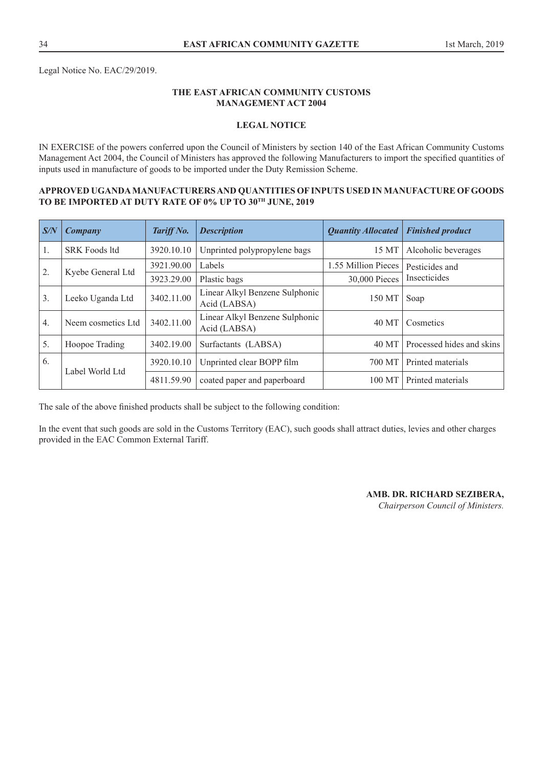# **THE EAST AFRICAN COMMUNITY CUSTOMS MANAGEMENT ACT 2004**

## **LEGAL NOTICE**

IN EXERCISE of the powers conferred upon the Council of Ministers by section 140 of the East African Community Customs Management Act 2004, the Council of Ministers has approved the following Manufacturers to import the specified quantities of inputs used in manufacture of goods to be imported under the Duty Remission Scheme.

## **APPROVED UGANDA MANUFACTURERS AND QUANTITIES OF INPUTS USED IN MANUFACTURE OF GOODS TO BE IMPORTED AT DUTY RATE OF 0% UP TO 30TH JUNE, 2019**

| $\sqrt{S/N}$     | Company              | Tariff No. | <b>Description</b>                             | <b>Quantity Allocated</b> | <b>Finished product</b>   |
|------------------|----------------------|------------|------------------------------------------------|---------------------------|---------------------------|
| 1.               | <b>SRK Foods ltd</b> | 3920.10.10 | Unprinted polypropylene bags                   | 15 MT                     | Alcoholic beverages       |
| 2.               |                      | 3921.90.00 | Labels                                         | 1.55 Million Pieces       | Pesticides and            |
|                  | Kyebe General Ltd    | 3923.29.00 | Plastic bags                                   | 30,000 Pieces             | Insecticides              |
| $\overline{3}$ . | Leeko Uganda Ltd     | 3402.11.00 | Linear Alkyl Benzene Sulphonic<br>Acid (LABSA) | 150 MT                    | Soap                      |
| $\overline{4}$ . | Neem cosmetics Ltd   | 3402.11.00 | Linear Alkyl Benzene Sulphonic<br>Acid (LABSA) | 40 MT                     | Cosmetics                 |
| 5.               | Hoopoe Trading       | 3402.19.00 | Surfactants (LABSA)                            | 40 MT                     | Processed hides and skins |
| 6.               | Label World Ltd      | 3920.10.10 | Unprinted clear BOPP film                      | 700 MT                    | Printed materials         |
|                  |                      | 4811.59.90 | coated paper and paperboard                    | 100 MT                    | Printed materials         |

The sale of the above finished products shall be subject to the following condition:

In the event that such goods are sold in the Customs Territory (EAC), such goods shall attract duties, levies and other charges provided in the EAC Common External Tariff.

**AMB. DR. RICHARD SEZIBERA,**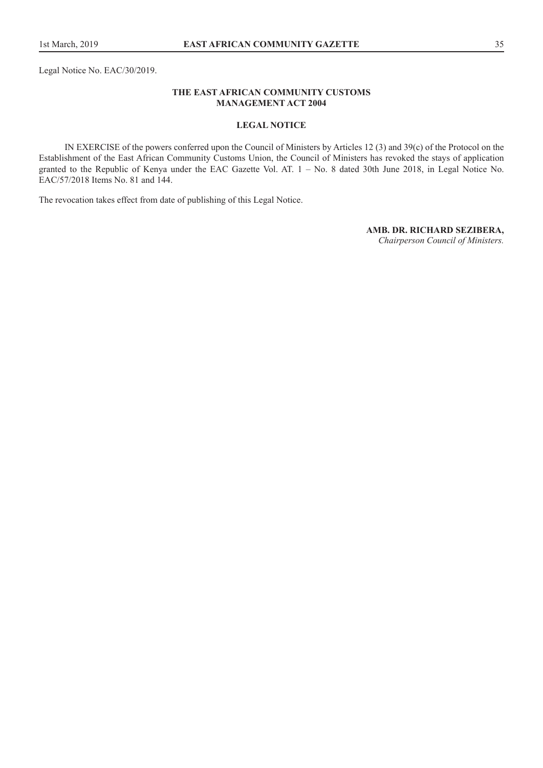## **THE EAST AFRICAN COMMUNITY CUSTOMS MANAGEMENT ACT 2004**

#### **LEGAL NOTICE**

IN EXERCISE of the powers conferred upon the Council of Ministers by Articles 12 (3) and 39(c) of the Protocol on the Establishment of the East African Community Customs Union, the Council of Ministers has revoked the stays of application granted to the Republic of Kenya under the EAC Gazette Vol. AT. 1 – No. 8 dated 30th June 2018, in Legal Notice No. EAC/57/2018 Items No. 81 and 144.

The revocation takes effect from date of publishing of this Legal Notice.

#### **AMB. DR. RICHARD SEZIBERA,**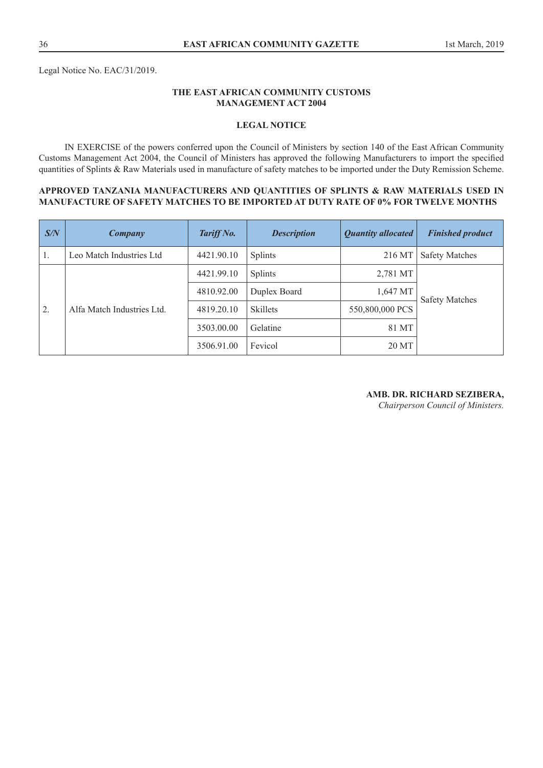Legal Notice No. EAC/31/2019.

## **THE EAST AFRICAN COMMUNITY CUSTOMS MANAGEMENT ACT 2004**

## **LEGAL NOTICE**

IN EXERCISE of the powers conferred upon the Council of Ministers by section 140 of the East African Community Customs Management Act 2004, the Council of Ministers has approved the following Manufacturers to import the specified quantities of Splints & Raw Materials used in manufacture of safety matches to be imported under the Duty Remission Scheme.

#### **APPROVED TANZANIA MANUFACTURERS AND QUANTITIES OF SPLINTS & RAW MATERIALS USED IN MANUFACTURE OF SAFETY MATCHES TO BE IMPORTED AT DUTY RATE OF 0% FOR TWELVE MONTHS**

| S/N            | Company                    | Tariff No. | <b>Description</b> | <b>Quantity allocated</b> | <b>Finished product</b> |
|----------------|----------------------------|------------|--------------------|---------------------------|-------------------------|
| 1.             | Leo Match Industries Ltd   | 4421.90.10 | <b>Splints</b>     | 216 MT                    | <b>Safety Matches</b>   |
|                | Alfa Match Industries Ltd. | 4421.99.10 | <b>Splints</b>     | 2,781 MT                  |                         |
|                |                            | 4810.92.00 | Duplex Board       | 1,647 MT                  | <b>Safety Matches</b>   |
| $^{\prime}$ 2. |                            | 4819.20.10 | <b>Skillets</b>    | 550,800,000 PCS           |                         |
|                |                            | 3503.00.00 | Gelatine           | 81 MT                     |                         |
|                |                            | 3506.91.00 | Fevicol            | 20 MT                     |                         |

#### **AMB. DR. RICHARD SEZIBERA,**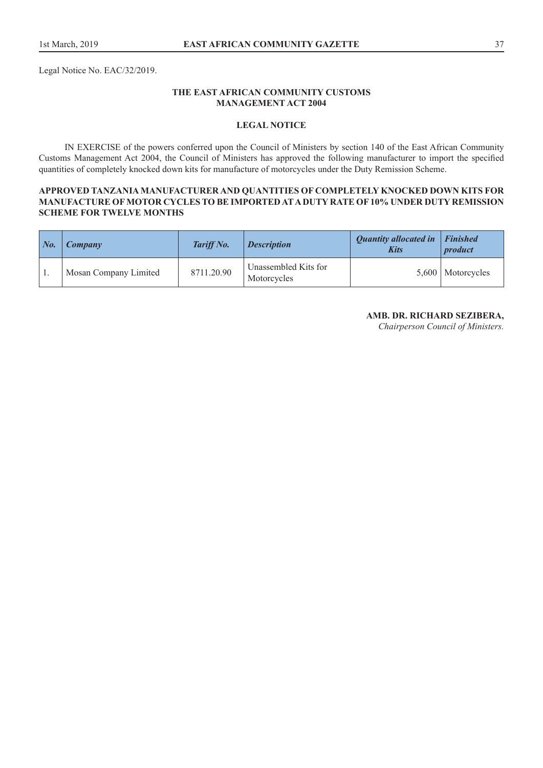Legal Notice No. EAC/32/2019.

## **THE EAST AFRICAN COMMUNITY CUSTOMS MANAGEMENT ACT 2004**

## **LEGAL NOTICE**

IN EXERCISE of the powers conferred upon the Council of Ministers by section 140 of the East African Community Customs Management Act 2004, the Council of Ministers has approved the following manufacturer to import the specified quantities of completely knocked down kits for manufacture of motorcycles under the Duty Remission Scheme.

## **APPROVED TANZANIA MANUFACTURER AND QUANTITIES OF COMPLETELY KNOCKED DOWN KITS FOR MANUFACTURE OF MOTOR CYCLES TO BE IMPORTED AT A DUTY RATE OF 10% UNDER DUTY REMISSION SCHEME FOR TWELVE MONTHS**

| $\mid$ No. | <b>Company</b>        | <b>Tariff No.</b> | <b>Description</b>                  | <b>Quantity allocated in</b><br><b>Kits</b> | <b>Finished</b><br><i>product</i> |
|------------|-----------------------|-------------------|-------------------------------------|---------------------------------------------|-----------------------------------|
|            | Mosan Company Limited | 8711.20.90        | Unassembled Kits for<br>Motorcycles |                                             | 5,600   Motorcycles               |

**AMB. DR. RICHARD SEZIBERA,**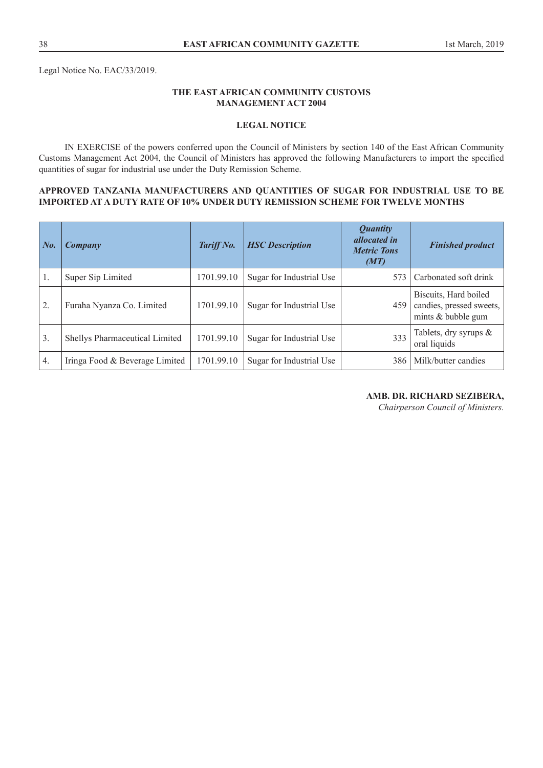Legal Notice No. EAC/33/2019.

## **THE EAST AFRICAN COMMUNITY CUSTOMS MANAGEMENT ACT 2004**

## **LEGAL NOTICE**

IN EXERCISE of the powers conferred upon the Council of Ministers by section 140 of the East African Community Customs Management Act 2004, the Council of Ministers has approved the following Manufacturers to import the specified quantities of sugar for industrial use under the Duty Remission Scheme.

## **APPROVED TANZANIA MANUFACTURERS AND QUANTITIES OF SUGAR FOR INDUSTRIAL USE TO BE IMPORTED AT A DUTY RATE OF 10% UNDER DUTY REMISSION SCHEME FOR TWELVE MONTHS**

| $\mid$ No. | Company                        | Tariff No. | <b>HSC</b> Description   | <b>Quantity</b><br><i>allocated in</i><br><b>Metric Tons</b><br>(MT) | <b>Finished product</b>                                                 |
|------------|--------------------------------|------------|--------------------------|----------------------------------------------------------------------|-------------------------------------------------------------------------|
| 1.         | Super Sip Limited              | 1701.99.10 | Sugar for Industrial Use | 573                                                                  | Carbonated soft drink                                                   |
| 2.         | Furaha Nyanza Co. Limited      | 1701.99.10 | Sugar for Industrial Use | 459                                                                  | Biscuits, Hard boiled<br>candies, pressed sweets,<br>mints & bubble gum |
| 3.         | Shellys Pharmaceutical Limited | 1701.99.10 | Sugar for Industrial Use | 333                                                                  | Tablets, dry syrups &<br>oral liquids                                   |
| 4.         | Iringa Food & Beverage Limited | 1701.99.10 | Sugar for Industrial Use | 386                                                                  | Milk/butter candies                                                     |

## **AMB. DR. RICHARD SEZIBERA,**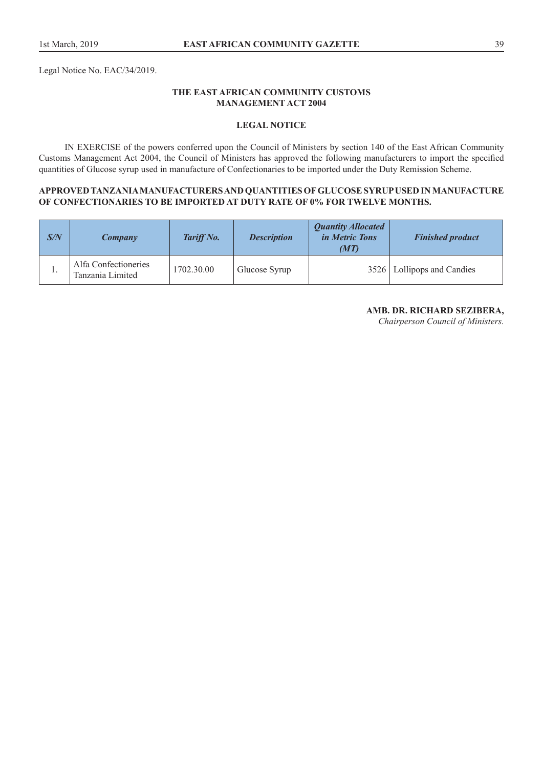Legal Notice No. EAC/34/2019.

## **THE EAST AFRICAN COMMUNITY CUSTOMS MANAGEMENT ACT 2004**

## **LEGAL NOTICE**

IN EXERCISE of the powers conferred upon the Council of Ministers by section 140 of the East African Community Customs Management Act 2004, the Council of Ministers has approved the following manufacturers to import the specified quantities of Glucose syrup used in manufacture of Confectionaries to be imported under the Duty Remission Scheme.

## **APPROVED TANZANIA MANUFACTURERS AND QUANTITIES OF GLUCOSE SYRUP USED IN MANUFACTURE OF CONFECTIONARIES TO BE IMPORTED AT DUTY RATE OF 0% FOR TWELVE MONTHS.**

| S/N | Company                                  | Tariff No. | <b>Description</b> | <b>Quantity Allocated</b><br><i>in Metric Tons</i><br>(MT) | <b>Finished product</b>      |
|-----|------------------------------------------|------------|--------------------|------------------------------------------------------------|------------------------------|
| . . | Alfa Confectioneries<br>Tanzania Limited | 1702.30.00 | Glucose Syrup      |                                                            | 3526   Lollipops and Candies |

## **AMB. DR. RICHARD SEZIBERA,**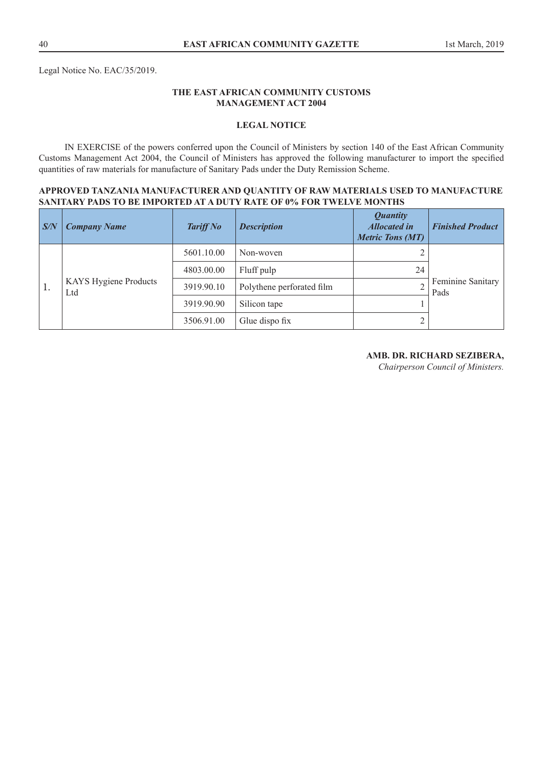Legal Notice No. EAC/35/2019.

## **THE EAST AFRICAN COMMUNITY CUSTOMS MANAGEMENT ACT 2004**

## **LEGAL NOTICE**

IN EXERCISE of the powers conferred upon the Council of Ministers by section 140 of the East African Community Customs Management Act 2004, the Council of Ministers has approved the following manufacturer to import the specified quantities of raw materials for manufacture of Sanitary Pads under the Duty Remission Scheme.

#### **APPROVED TANZANIA MANUFACTURER AND QUANTITY OF RAW MATERIALS USED TO MANUFACTURE SANITARY PADS TO BE IMPORTED AT A DUTY RATE OF 0% FOR TWELVE MONTHS**

| S/N | <b>Company Name</b>                 | <b>Tariff No</b> | <b>Description</b>        | <b>Quantity</b><br><b>Allocated in</b><br><b>Metric Tons (MT)</b> | <b>Finished Product</b>   |
|-----|-------------------------------------|------------------|---------------------------|-------------------------------------------------------------------|---------------------------|
| 1.  | <b>KAYS Hygiene Products</b><br>Ltd | 5601.10.00       | Non-woven                 |                                                                   |                           |
|     |                                     | 4803.00.00       | Fluff pulp                | 24                                                                | Feminine Sanitary<br>Pads |
|     |                                     | 3919.90.10       | Polythene perforated film |                                                                   |                           |
|     |                                     | 3919.90.90       | Silicon tape              |                                                                   |                           |
|     |                                     | 3506.91.00       | Glue dispo fix            |                                                                   |                           |

#### **AMB. DR. RICHARD SEZIBERA,**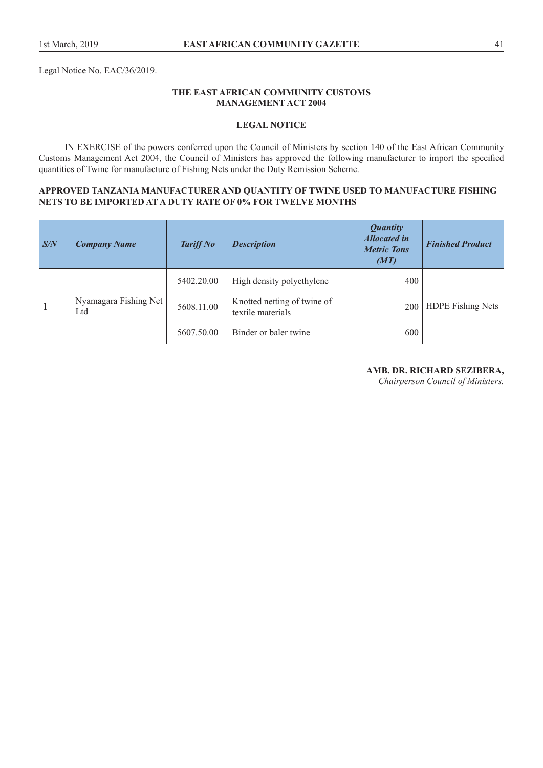Legal Notice No. EAC/36/2019.

## **THE EAST AFRICAN COMMUNITY CUSTOMS MANAGEMENT ACT 2004**

## **LEGAL NOTICE**

IN EXERCISE of the powers conferred upon the Council of Ministers by section 140 of the East African Community Customs Management Act 2004, the Council of Ministers has approved the following manufacturer to import the specified quantities of Twine for manufacture of Fishing Nets under the Duty Remission Scheme.

## **APPROVED TANZANIA MANUFACTURER AND QUANTITY OF TWINE USED TO MANUFACTURE FISHING NETS TO BE IMPORTED AT A DUTY RATE OF 0% FOR TWELVE MONTHS**

| $\sqrt{S/N}$ | <b>Company Name</b>          | <b>Tariff No</b> | <b>Description</b>                               | <b>Quantity</b><br><b>Allocated in</b><br><b>Metric Tons</b><br>(MT) | <b>Finished Product</b>  |
|--------------|------------------------------|------------------|--------------------------------------------------|----------------------------------------------------------------------|--------------------------|
| $\mathbf{1}$ | Nyamagara Fishing Net<br>Ltd | 5402.20.00       | High density polyethylene                        | 400                                                                  | <b>HDPE Fishing Nets</b> |
|              |                              | 5608.11.00       | Knotted netting of twine of<br>textile materials | 200                                                                  |                          |
|              |                              | 5607.50.00       | Binder or baler twine                            | 600                                                                  |                          |

## **AMB. DR. RICHARD SEZIBERA,**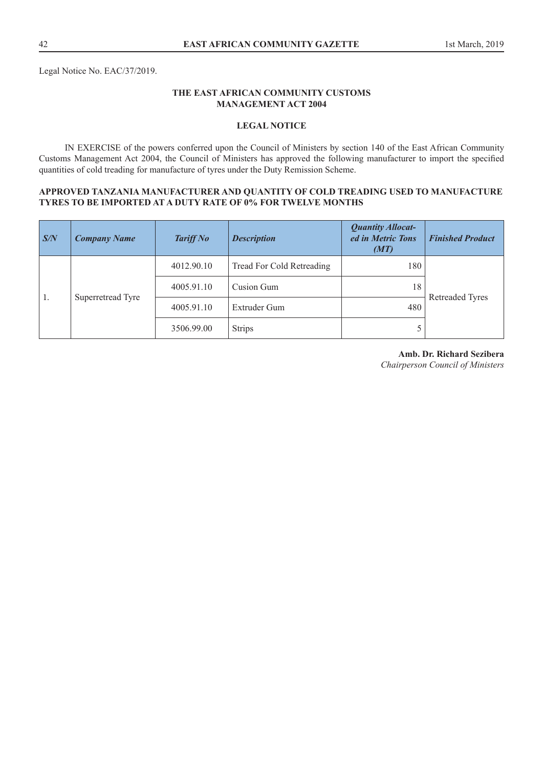## **THE EAST AFRICAN COMMUNITY CUSTOMS MANAGEMENT ACT 2004**

## **LEGAL NOTICE**

IN EXERCISE of the powers conferred upon the Council of Ministers by section 140 of the East African Community Customs Management Act 2004, the Council of Ministers has approved the following manufacturer to import the specified quantities of cold treading for manufacture of tyres under the Duty Remission Scheme.

## **APPROVED TANZANIA MANUFACTURER AND QUANTITY OF COLD TREADING USED TO MANUFACTURE TYRES TO BE IMPORTED AT A DUTY RATE OF 0% FOR TWELVE MONTHS**

| S/N | <b>Company Name</b> | <b>Tariff No</b> | <b>Description</b>        | <b>Quantity Allocat-</b><br>ed in Metric Tons<br>(MT) | <b>Finished Product</b> |
|-----|---------------------|------------------|---------------------------|-------------------------------------------------------|-------------------------|
| 1.  | Superretread Tyre   | 4012.90.10       | Tread For Cold Retreading | 180                                                   |                         |
|     |                     | 4005.91.10       | Cusion Gum                | 18                                                    |                         |
|     |                     | 4005.91.10       | Extruder Gum              | 480                                                   | <b>Retreaded Tyres</b>  |
|     |                     | 3506.99.00       | <b>Strips</b>             |                                                       |                         |

# **Amb. Dr. Richard Sezibera**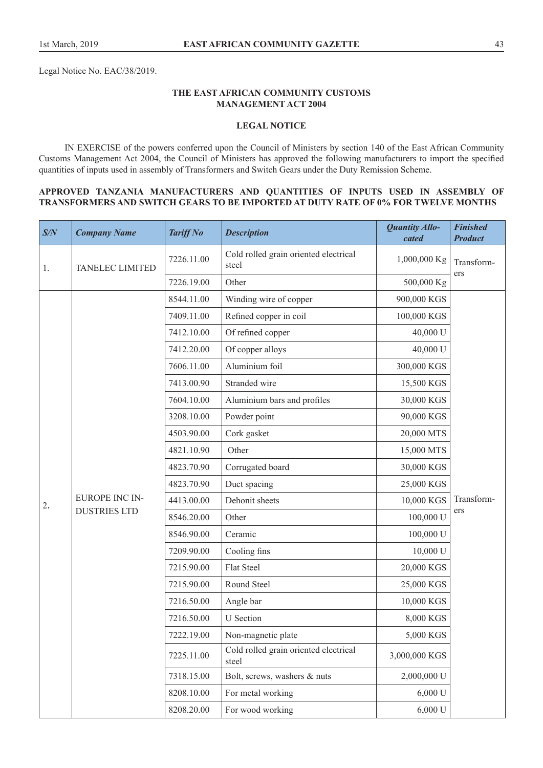Legal Notice No. EAC/38/2019.

## **THE EAST AFRICAN COMMUNITY CUSTOMS MANAGEMENT ACT 2004**

## **LEGAL NOTICE**

IN EXERCISE of the powers conferred upon the Council of Ministers by section 140 of the East African Community Customs Management Act 2004, the Council of Ministers has approved the following manufacturers to import the specified quantities of inputs used in assembly of Transformers and Switch Gears under the Duty Remission Scheme.

#### **APPROVED TANZANIA MANUFACTURERS AND QUANTITIES OF INPUTS USED IN ASSEMBLY OF TRANSFORMERS AND SWITCH GEARS TO BE IMPORTED AT DUTY RATE OF 0% FOR TWELVE MONTHS**

| S/N | <b>Company Name</b>    | <b>Tariff No</b> | <b>Description</b>                             | Quantity Allo-<br>cated | <b>Finished</b><br><b>Product</b> |
|-----|------------------------|------------------|------------------------------------------------|-------------------------|-----------------------------------|
| 1.  | <b>TANELEC LIMITED</b> | 7226.11.00       | Cold rolled grain oriented electrical<br>steel | 1,000,000 Kg            | Transform-                        |
|     |                        | 7226.19.00       | Other                                          | 500,000 Kg              | ers                               |
|     |                        | 8544.11.00       | Winding wire of copper                         | 900,000 KGS             |                                   |
|     |                        | 7409.11.00       | Refined copper in coil                         | 100,000 KGS             |                                   |
|     |                        | 7412.10.00       | Of refined copper                              | 40,000 U                |                                   |
|     |                        | 7412.20.00       | Of copper alloys                               | 40,000 U                |                                   |
|     |                        | 7606.11.00       | Aluminium foil                                 | 300,000 KGS             |                                   |
|     |                        | 7413.00.90       | Stranded wire                                  | 15,500 KGS              |                                   |
|     |                        | 7604.10.00       | Aluminium bars and profiles                    | 30,000 KGS              |                                   |
|     |                        | 3208.10.00       | Powder point                                   | 90,000 KGS              |                                   |
|     |                        | 4503.90.00       | Cork gasket                                    | 20,000 MTS              | Transform-                        |
|     |                        | 4821.10.90       | Other                                          | 15,000 MTS              |                                   |
|     |                        | 4823.70.90       | Corrugated board                               | 30,000 KGS              |                                   |
|     |                        | 4823.70.90       | Duct spacing                                   | 25,000 KGS              |                                   |
| 2.  | <b>EUROPE INC IN-</b>  | 4413.00.00       | Dehonit sheets                                 | 10,000 KGS              |                                   |
|     | <b>DUSTRIES LTD</b>    | 8546.20.00       | Other                                          | 100,000 U               | ers                               |
|     |                        | 8546.90.00       | Ceramic                                        | 100,000 U               |                                   |
|     |                        | 7209.90.00       | Cooling fins                                   | 10,000 U                |                                   |
|     |                        | 7215.90.00       | <b>Flat Steel</b>                              | 20,000 KGS              |                                   |
|     |                        | 7215.90.00       | Round Steel                                    | 25,000 KGS              |                                   |
|     |                        | 7216.50.00       | Angle bar                                      | 10,000 KGS              |                                   |
|     |                        | 7216.50.00       | <b>U</b> Section                               | 8,000 KGS               |                                   |
|     |                        | 7222.19.00       | Non-magnetic plate                             | 5,000 KGS               |                                   |
|     |                        | 7225.11.00       | Cold rolled grain oriented electrical<br>steel | 3,000,000 KGS           |                                   |
|     |                        | 7318.15.00       | Bolt, screws, washers & nuts                   | 2,000,000 U             |                                   |
|     |                        | 8208.10.00       | For metal working                              | 6,000 U                 |                                   |
|     |                        | 8208.20.00       | For wood working                               | 6,000 U                 |                                   |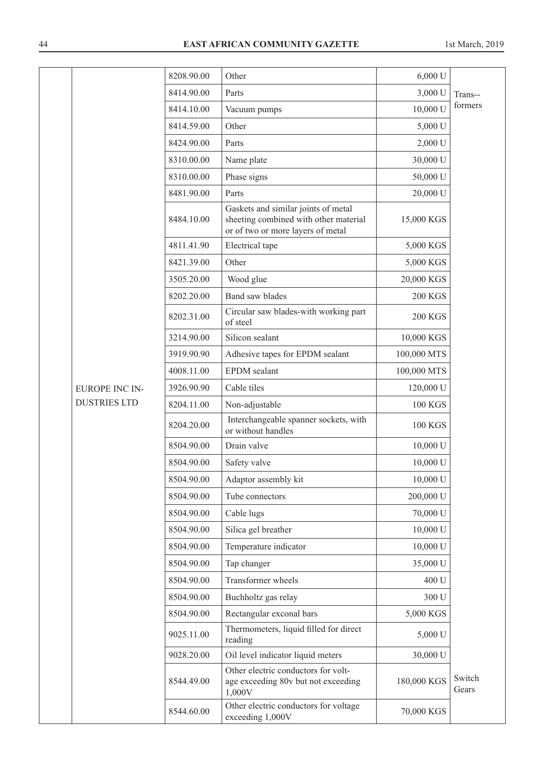|                       | 8208.90.00 | Other                                                                                                             | 6,000 U        |                 |
|-----------------------|------------|-------------------------------------------------------------------------------------------------------------------|----------------|-----------------|
|                       | 8414.90.00 | Parts                                                                                                             | 3,000 U        | Trans--         |
|                       | 8414.10.00 | Vacuum pumps                                                                                                      | 10,000 U       | formers         |
|                       | 8414.59.00 | Other                                                                                                             | 5,000 U        |                 |
|                       | 8424.90.00 | Parts                                                                                                             | 2,000 U        |                 |
|                       | 8310.00.00 | Name plate                                                                                                        | 30,000 U       |                 |
|                       | 8310.00.00 | Phase signs                                                                                                       | 50,000 U       |                 |
|                       | 8481.90.00 | Parts                                                                                                             | 20,000 U       |                 |
|                       | 8484.10.00 | Gaskets and similar joints of metal<br>sheeting combined with other material<br>or of two or more layers of metal | 15,000 KGS     |                 |
|                       | 4811.41.90 | Electrical tape                                                                                                   | 5,000 KGS      |                 |
|                       | 8421.39.00 | Other                                                                                                             | 5,000 KGS      |                 |
|                       | 3505.20.00 | Wood glue                                                                                                         | 20,000 KGS     |                 |
|                       | 8202.20.00 | <b>Band saw blades</b>                                                                                            | <b>200 KGS</b> |                 |
|                       | 8202.31.00 | Circular saw blades-with working part<br>of steel                                                                 | <b>200 KGS</b> |                 |
|                       | 3214.90.00 | Silicon sealant                                                                                                   | 10,000 KGS     |                 |
|                       | 3919.90.90 | Adhesive tapes for EPDM sealant                                                                                   | 100,000 MTS    |                 |
|                       | 4008.11.00 | <b>EPDM</b> sealant                                                                                               | 100,000 MTS    |                 |
| <b>EUROPE INC IN-</b> | 3926.90.90 | Cable tiles                                                                                                       | 120,000 U      |                 |
| <b>DUSTRIES LTD</b>   | 8204.11.00 | Non-adjustable                                                                                                    | <b>100 KGS</b> |                 |
|                       | 8204.20.00 | Interchangeable spanner sockets, with<br>or without handles                                                       | <b>100 KGS</b> |                 |
|                       | 8504.90.00 | Drain valve                                                                                                       | 10,000 U       |                 |
|                       | 8504.90.00 | Safety valve                                                                                                      | 10,000 U       |                 |
|                       | 8504.90.00 | Adaptor assembly kit                                                                                              | 10,000 U       |                 |
|                       | 8504.90.00 | Tube connectors                                                                                                   | 200,000 U      |                 |
|                       | 8504.90.00 | Cable lugs                                                                                                        | 70,000 U       |                 |
|                       | 8504.90.00 | Silica gel breather                                                                                               | 10,000 U       |                 |
|                       | 8504.90.00 | Temperature indicator                                                                                             | 10,000 U       |                 |
|                       | 8504.90.00 | Tap changer                                                                                                       | 35,000 U       |                 |
|                       | 8504.90.00 | Transformer wheels                                                                                                | 400 U          |                 |
|                       | 8504.90.00 | Buchholtz gas relay                                                                                               | 300 U          |                 |
|                       | 8504.90.00 | Rectangular exconal bars                                                                                          | 5,000 KGS      |                 |
|                       | 9025.11.00 | Thermometers, liquid filled for direct<br>reading                                                                 | 5,000 U        |                 |
|                       | 9028.20.00 | Oil level indicator liquid meters                                                                                 | 30,000 U       |                 |
|                       | 8544.49.00 | Other electric conductors for volt-<br>age exceeding 80v but not exceeding<br>1,000V                              | 180,000 KGS    | Switch<br>Gears |
|                       | 8544.60.00 | Other electric conductors for voltage<br>exceeding 1,000V                                                         | 70,000 KGS     |                 |
|                       |            |                                                                                                                   |                |                 |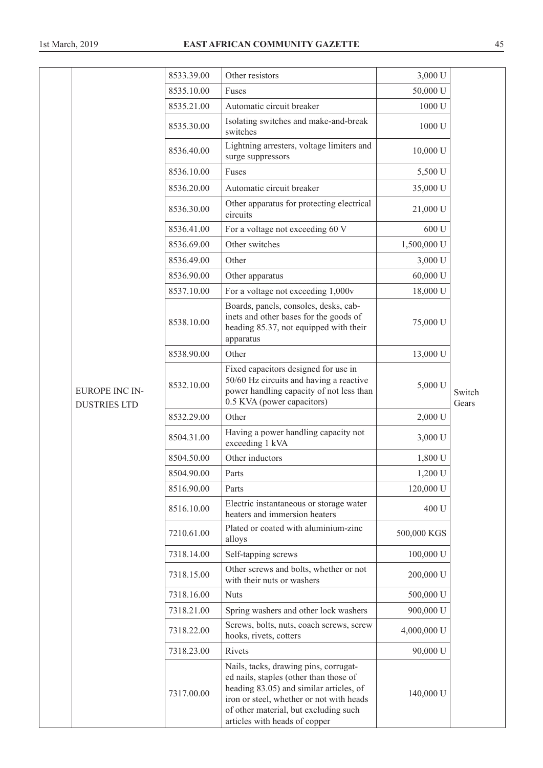|                                       | 8533.39.00 | Other resistors                                                                                                                                                                                                                                  | 3,000 U     |                 |
|---------------------------------------|------------|--------------------------------------------------------------------------------------------------------------------------------------------------------------------------------------------------------------------------------------------------|-------------|-----------------|
|                                       | 8535.10.00 | Fuses                                                                                                                                                                                                                                            | 50,000 U    |                 |
|                                       | 8535.21.00 | Automatic circuit breaker                                                                                                                                                                                                                        | 1000 U      |                 |
|                                       | 8535.30.00 | Isolating switches and make-and-break<br>switches                                                                                                                                                                                                | 1000 U      |                 |
|                                       | 8536.40.00 | Lightning arresters, voltage limiters and<br>surge suppressors                                                                                                                                                                                   | 10,000 U    |                 |
|                                       | 8536.10.00 | Fuses                                                                                                                                                                                                                                            | 5,500 U     |                 |
|                                       | 8536.20.00 | Automatic circuit breaker                                                                                                                                                                                                                        | 35,000 U    |                 |
|                                       | 8536.30.00 | Other apparatus for protecting electrical<br>circuits                                                                                                                                                                                            | 21,000 U    |                 |
|                                       | 8536.41.00 | For a voltage not exceeding 60 V                                                                                                                                                                                                                 | 600 U       |                 |
|                                       | 8536.69.00 | Other switches                                                                                                                                                                                                                                   | 1,500,000 U |                 |
|                                       | 8536.49.00 | Other                                                                                                                                                                                                                                            | 3,000 U     |                 |
|                                       | 8536.90.00 | Other apparatus                                                                                                                                                                                                                                  | 60,000 U    |                 |
|                                       | 8537.10.00 | For a voltage not exceeding 1,000v                                                                                                                                                                                                               | 18,000 U    |                 |
|                                       | 8538.10.00 | Boards, panels, consoles, desks, cab-<br>inets and other bases for the goods of<br>heading 85.37, not equipped with their<br>apparatus                                                                                                           | 75,000 U    |                 |
|                                       | 8538.90.00 | Other                                                                                                                                                                                                                                            | 13,000 U    |                 |
| EUROPE INC IN-<br><b>DUSTRIES LTD</b> | 8532.10.00 | Fixed capacitors designed for use in<br>50/60 Hz circuits and having a reactive<br>power handling capacity of not less than<br>0.5 KVA (power capacitors)                                                                                        | 5,000 U     | Switch<br>Gears |
|                                       | 8532.29.00 | Other                                                                                                                                                                                                                                            | 2,000 U     |                 |
|                                       | 8504.31.00 | Having a power handling capacity not<br>exceeding 1 kVA                                                                                                                                                                                          | 3,000 U     |                 |
|                                       | 8504.50.00 | Other inductors                                                                                                                                                                                                                                  | 1,800 U     |                 |
|                                       | 8504.90.00 | Parts                                                                                                                                                                                                                                            | 1,200 U     |                 |
|                                       | 8516.90.00 | Parts                                                                                                                                                                                                                                            | 120,000 U   |                 |
|                                       | 8516.10.00 | Electric instantaneous or storage water<br>heaters and immersion heaters                                                                                                                                                                         | 400 U       |                 |
|                                       | 7210.61.00 | Plated or coated with aluminium-zinc<br>alloys                                                                                                                                                                                                   | 500,000 KGS |                 |
|                                       | 7318.14.00 | Self-tapping screws                                                                                                                                                                                                                              | 100,000 U   |                 |
|                                       | 7318.15.00 | Other screws and bolts, whether or not<br>with their nuts or washers                                                                                                                                                                             | 200,000 U   |                 |
|                                       | 7318.16.00 | <b>Nuts</b>                                                                                                                                                                                                                                      | 500,000 U   |                 |
|                                       | 7318.21.00 | Spring washers and other lock washers                                                                                                                                                                                                            | 900,000 U   |                 |
|                                       | 7318.22.00 | Screws, bolts, nuts, coach screws, screw<br>hooks, rivets, cotters                                                                                                                                                                               | 4,000,000 U |                 |
|                                       | 7318.23.00 | Rivets                                                                                                                                                                                                                                           | 90,000 U    |                 |
|                                       | 7317.00.00 | Nails, tacks, drawing pins, corrugat-<br>ed nails, staples (other than those of<br>heading 83.05) and similar articles, of<br>iron or steel, whether or not with heads<br>of other material, but excluding such<br>articles with heads of copper | 140,000 U   |                 |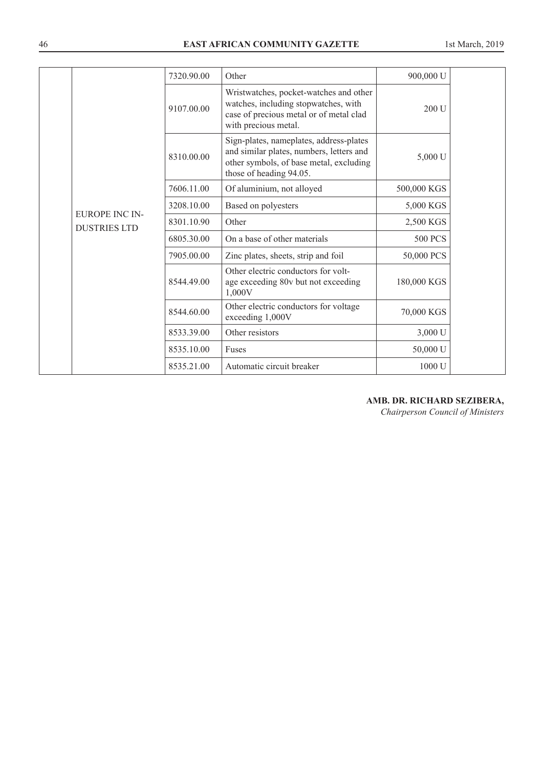|  |                                       | 7320.90.00 | Other                                                                                                                                                     | 900,000 U      |  |
|--|---------------------------------------|------------|-----------------------------------------------------------------------------------------------------------------------------------------------------------|----------------|--|
|  | EUROPE INC IN-<br><b>DUSTRIES LTD</b> | 9107.00.00 | Wristwatches, pocket-watches and other<br>watches, including stopwatches, with<br>case of precious metal or of metal clad<br>with precious metal.         | 200 U          |  |
|  |                                       | 8310.00.00 | Sign-plates, nameplates, address-plates<br>and similar plates, numbers, letters and<br>other symbols, of base metal, excluding<br>those of heading 94.05. | 5,000 U        |  |
|  |                                       | 7606.11.00 | Of aluminium, not alloyed                                                                                                                                 | 500,000 KGS    |  |
|  |                                       | 3208.10.00 | Based on polyesters                                                                                                                                       | 5,000 KGS      |  |
|  |                                       | 8301.10.90 | Other                                                                                                                                                     | 2,500 KGS      |  |
|  |                                       | 6805.30.00 | On a base of other materials                                                                                                                              | <b>500 PCS</b> |  |
|  |                                       | 7905.00.00 | Zinc plates, sheets, strip and foil                                                                                                                       | 50,000 PCS     |  |
|  |                                       | 8544.49.00 | Other electric conductors for volt-<br>age exceeding 80v but not exceeding<br>1,000V                                                                      | 180,000 KGS    |  |
|  |                                       | 8544.60.00 | Other electric conductors for voltage<br>exceeding 1,000V                                                                                                 | 70,000 KGS     |  |
|  |                                       | 8533.39.00 | Other resistors                                                                                                                                           | 3,000 U        |  |
|  |                                       | 8535.10.00 | Fuses                                                                                                                                                     | 50,000 U       |  |
|  |                                       | 8535.21.00 | Automatic circuit breaker                                                                                                                                 | 1000 U         |  |

# **AMB. DR. RICHARD SEZIBERA,**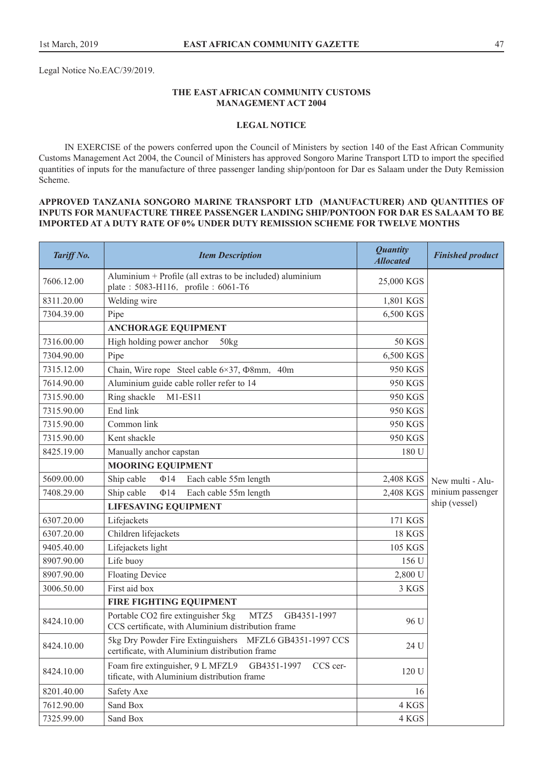Legal Notice No.EAC/39/2019.

## **THE EAST AFRICAN COMMUNITY CUSTOMS MANAGEMENT ACT 2004**

## **LEGAL NOTICE**

IN EXERCISE of the powers conferred upon the Council of Ministers by section 140 of the East African Community Customs Management Act 2004, the Council of Ministers has approved Songoro Marine Transport LTD to import the specified quantities of inputs for the manufacture of three passenger landing ship/pontoon for Dar es Salaam under the Duty Remission Scheme.

## **APPROVED TANZANIA SONGORO MARINE TRANSPORT LTD (MANUFACTURER) AND QUANTITIES OF INPUTS FOR MANUFACTURE THREE PASSENGER LANDING SHIP/PONTOON FOR DAR ES SALAAM TO BE IMPORTED AT A DUTY RATE OF 0% UNDER DUTY REMISSION SCHEME FOR TWELVE MONTHS**

| Tariff No. | <b>Item Description</b>                                                                                         | <b>Quantity</b><br><b>Allocated</b> | <b>Finished product</b> |
|------------|-----------------------------------------------------------------------------------------------------------------|-------------------------------------|-------------------------|
| 7606.12.00 | Aluminium + Profile (all extras to be included) aluminium<br>plate: 5083-H116, profile: 6061-T6                 | 25,000 KGS                          |                         |
| 8311.20.00 | Welding wire                                                                                                    | 1,801 KGS                           |                         |
| 7304.39.00 | Pipe                                                                                                            | 6,500 KGS                           |                         |
|            | <b>ANCHORAGE EQUIPMENT</b>                                                                                      |                                     |                         |
| 7316.00.00 | High holding power anchor<br>50kg                                                                               | <b>50 KGS</b>                       |                         |
| 7304.90.00 | Pipe                                                                                                            | 6,500 KGS                           |                         |
| 7315.12.00 | Chain, Wire rope Steel cable $6 \times 37$ , $\Phi$ 8mm, 40m                                                    | 950 KGS                             |                         |
| 7614.90.00 | Aluminium guide cable roller refer to 14                                                                        | 950 KGS                             |                         |
| 7315.90.00 | Ring shackle<br>$M1-ES11$                                                                                       | 950 KGS                             |                         |
| 7315.90.00 | End link                                                                                                        | 950 KGS                             |                         |
| 7315.90.00 | Common link                                                                                                     | 950 KGS                             |                         |
| 7315.90.00 | Kent shackle                                                                                                    | 950 KGS                             |                         |
| 8425.19.00 | Manually anchor capstan                                                                                         | 180 U                               |                         |
|            | <b>MOORING EQUIPMENT</b>                                                                                        |                                     |                         |
| 5609.00.00 | Ship cable<br>$\Phi$ 14<br>Each cable 55m length                                                                | 2,408 KGS                           | New multi - Alu-        |
| 7408.29.00 | Ship cable<br>Each cable 55m length<br>$\Phi$ 14                                                                | 2,408 KGS                           | minium passenger        |
|            | <b>LIFESAVING EQUIPMENT</b>                                                                                     |                                     | ship (vessel)           |
| 6307.20.00 | Lifejackets                                                                                                     | 171 KGS                             |                         |
| 6307.20.00 | Children lifejackets                                                                                            | <b>18 KGS</b>                       |                         |
| 9405.40.00 | Lifejackets light                                                                                               | <b>105 KGS</b>                      |                         |
| 8907.90.00 | Life buoy                                                                                                       | 156 U                               |                         |
| 8907.90.00 | <b>Floating Device</b>                                                                                          | 2,800 U                             |                         |
| 3006.50.00 | First aid box                                                                                                   | 3 KGS                               |                         |
|            | FIRE FIGHTING EQUIPMENT                                                                                         |                                     |                         |
| 8424.10.00 | Portable CO2 fire extinguisher 5kg<br>MTZ5<br>GB4351-1997<br>CCS certificate, with Aluminium distribution frame | 96 U                                |                         |
| 8424.10.00 | 5kg Dry Powder Fire Extinguishers MFZL6 GB4351-1997 CCS<br>certificate, with Aluminium distribution frame       | 24 U                                |                         |
| 8424.10.00 | Foam fire extinguisher, 9 L MFZL9<br>GB4351-1997<br>CCS cer-<br>tificate, with Aluminium distribution frame     | 120 U                               |                         |
| 8201.40.00 | Safety Axe                                                                                                      | 16                                  |                         |
| 7612.90.00 | Sand Box                                                                                                        | 4 KGS                               |                         |
| 7325.99.00 | Sand Box                                                                                                        | 4 KGS                               |                         |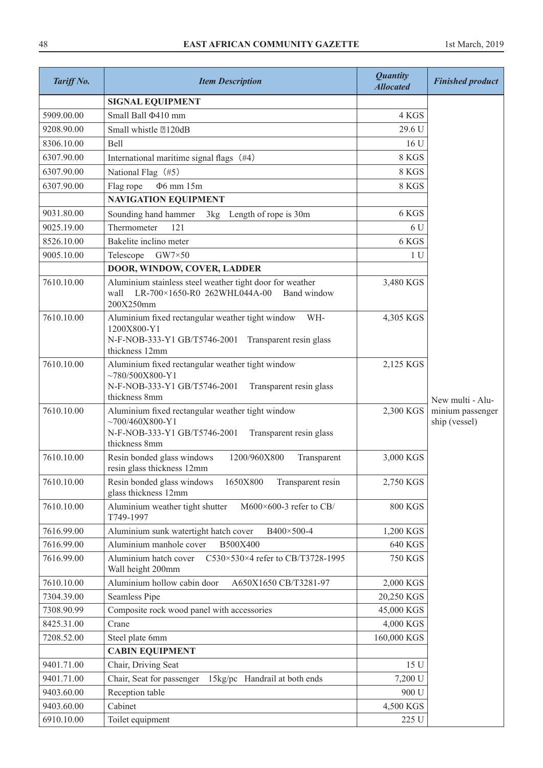| Tariff No. | <b>Item Description</b>                                                                                                                                                | <b>Quantity</b><br><b>Allocated</b> | <b>Finished product</b>           |
|------------|------------------------------------------------------------------------------------------------------------------------------------------------------------------------|-------------------------------------|-----------------------------------|
|            | <b>SIGNAL EQUIPMENT</b>                                                                                                                                                |                                     |                                   |
| 5909.00.00 | Small Ball $\Phi$ 410 mm                                                                                                                                               | 4 KGS                               |                                   |
| 9208.90.00 | Small whistle 2120dB                                                                                                                                                   | 29.6 U                              |                                   |
| 8306.10.00 | <b>Bell</b>                                                                                                                                                            | 16 U                                |                                   |
| 6307.90.00 | International maritime signal flags (#4)                                                                                                                               | 8 KGS                               |                                   |
| 6307.90.00 | National Flag (#5)                                                                                                                                                     | 8 KGS                               |                                   |
| 6307.90.00 | Φ6 mm 15m<br>Flag rope                                                                                                                                                 | 8 KGS                               |                                   |
|            | <b>NAVIGATION EQUIPMENT</b>                                                                                                                                            |                                     |                                   |
| 9031.80.00 | Sounding hand hammer<br>3kg Length of rope is 30m                                                                                                                      | 6 KGS                               |                                   |
| 9025.19.00 | Thermometer<br>121                                                                                                                                                     | 6 U                                 |                                   |
| 8526.10.00 | Bakelite inclino meter                                                                                                                                                 | 6 KGS                               |                                   |
| 9005.10.00 | Telescope<br>$GW7\times50$                                                                                                                                             | 1 <sub>U</sub>                      |                                   |
|            | DOOR, WINDOW, COVER, LADDER                                                                                                                                            |                                     |                                   |
| 7610.10.00 | Aluminium stainless steel weather tight door for weather<br>LR-700×1650-R0 262WHL044A-00<br>Band window<br>wall<br>200X250mm                                           | 3,480 KGS                           |                                   |
| 7610.10.00 | Aluminium fixed rectangular weather tight window<br>WH-<br>1200X800-Y1<br>N-F-NOB-333-Y1 GB/T5746-2001 Transparent resin glass                                         | 4,305 KGS                           |                                   |
| 7610.10.00 | thickness 12mm<br>Aluminium fixed rectangular weather tight window<br>$~1$ ~780/500X800-Y1<br>N-F-NOB-333-Y1 GB/T5746-2001<br>Transparent resin glass<br>thickness 8mm | 2,125 KGS                           | New multi - Alu-                  |
| 7610.10.00 | Aluminium fixed rectangular weather tight window<br>$~1$ ~700/460X800-Y1<br>N-F-NOB-333-Y1 GB/T5746-2001<br>Transparent resin glass<br>thickness 8mm                   | 2,300 KGS                           | minium passenger<br>ship (vessel) |
| 7610.10.00 | Resin bonded glass windows<br>1200/960X800<br>Transparent<br>resin glass thickness 12mm                                                                                | 3,000 KGS                           |                                   |
| 7610.10.00 | Resin bonded glass windows<br>1650X800<br>Transparent resin<br>glass thickness 12mm                                                                                    | 2,750 KGS                           |                                   |
| 7610.10.00 | Aluminium weather tight shutter<br>M600×600-3 refer to CB/<br>T749-1997                                                                                                | <b>800 KGS</b>                      |                                   |
| 7616.99.00 | Aluminium sunk watertight hatch cover<br>B400×500-4                                                                                                                    | 1,200 KGS                           |                                   |
| 7616.99.00 | Aluminium manhole cover<br>B500X400                                                                                                                                    | 640 KGS                             |                                   |
| 7616.99.00 | Aluminium hatch cover<br>C530×530×4 refer to CB/T3728-1995<br>Wall height 200mm                                                                                        | <b>750 KGS</b>                      |                                   |
| 7610.10.00 | Aluminium hollow cabin door<br>A650X1650 CB/T3281-97                                                                                                                   | 2,000 KGS                           |                                   |
| 7304.39.00 | <b>Seamless Pipe</b>                                                                                                                                                   | 20,250 KGS                          |                                   |
| 7308.90.99 | Composite rock wood panel with accessories                                                                                                                             | 45,000 KGS                          |                                   |
| 8425.31.00 | Crane                                                                                                                                                                  | 4,000 KGS                           |                                   |
| 7208.52.00 | Steel plate 6mm                                                                                                                                                        | 160,000 KGS                         |                                   |
|            | <b>CABIN EQUIPMENT</b>                                                                                                                                                 |                                     |                                   |
| 9401.71.00 | Chair, Driving Seat                                                                                                                                                    | 15 U                                |                                   |
| 9401.71.00 | Chair, Seat for passenger<br>15kg/pc Handrail at both ends                                                                                                             | 7,200 U                             |                                   |
| 9403.60.00 | Reception table                                                                                                                                                        | 900 U                               |                                   |
| 9403.60.00 | Cabinet                                                                                                                                                                | 4,500 KGS                           |                                   |
| 6910.10.00 | Toilet equipment                                                                                                                                                       | 225 U                               |                                   |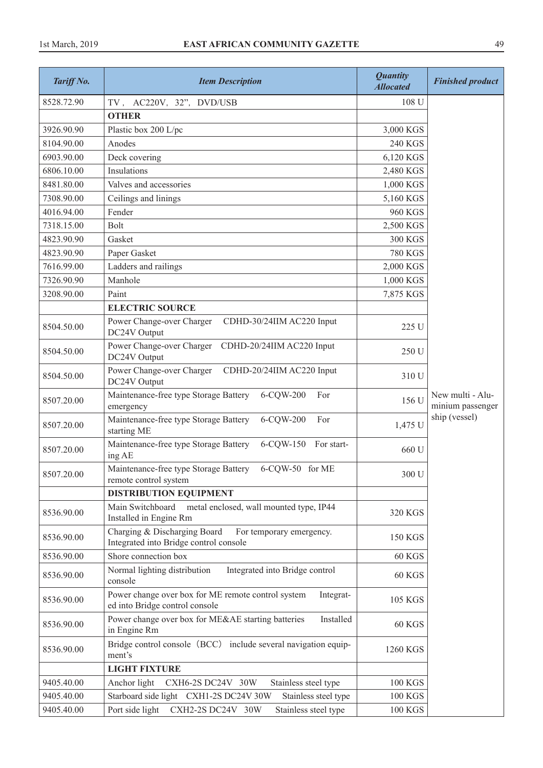| Tariff No. | <b>Item Description</b>                                                                            | <b>Quantity</b><br><b>Allocated</b> | <b>Finished product</b>              |
|------------|----------------------------------------------------------------------------------------------------|-------------------------------------|--------------------------------------|
| 8528.72.90 | TV, AC220V, 32", DVD/USB                                                                           | 108 U                               |                                      |
|            | <b>OTHER</b>                                                                                       |                                     |                                      |
| 3926.90.90 | Plastic box 200 L/pc                                                                               | 3,000 KGS                           |                                      |
| 8104.90.00 | Anodes                                                                                             | <b>240 KGS</b>                      |                                      |
| 6903.90.00 | Deck covering                                                                                      | 6,120 KGS                           |                                      |
| 6806.10.00 | Insulations                                                                                        | 2,480 KGS                           |                                      |
| 8481.80.00 | Valves and accessories                                                                             | 1,000 KGS                           |                                      |
| 7308.90.00 | Ceilings and linings                                                                               | 5,160 KGS                           |                                      |
| 4016.94.00 | Fender                                                                                             | <b>960 KGS</b>                      |                                      |
| 7318.15.00 | <b>Bolt</b>                                                                                        | 2,500 KGS                           |                                      |
| 4823.90.90 | Gasket                                                                                             | <b>300 KGS</b>                      |                                      |
| 4823.90.90 | Paper Gasket                                                                                       | <b>780 KGS</b>                      |                                      |
| 7616.99.00 | Ladders and railings                                                                               | 2,000 KGS                           |                                      |
| 7326.90.90 | Manhole                                                                                            | 1,000 KGS                           |                                      |
| 3208.90.00 | Paint                                                                                              | 7,875 KGS                           |                                      |
|            | <b>ELECTRIC SOURCE</b>                                                                             |                                     |                                      |
| 8504.50.00 | Power Change-over Charger<br>CDHD-30/24IIM AC220 Input<br>DC24V Output                             | 225 U                               |                                      |
| 8504.50.00 | Power Change-over Charger<br>CDHD-20/24IIM AC220 Input<br>DC24V Output                             | 250 U                               |                                      |
| 8504.50.00 | Power Change-over Charger<br>CDHD-20/24IIM AC220 Input<br>DC24V Output                             | 310 U                               |                                      |
| 8507.20.00 | Maintenance-free type Storage Battery<br>6-CQW-200<br>For<br>emergency                             | 156 U                               | New multi - Alu-<br>minium passenger |
| 8507.20.00 | Maintenance-free type Storage Battery<br>6-CQW-200<br>For<br>starting ME                           | 1,475 U                             | ship (vessel)                        |
| 8507.20.00 | Maintenance-free type Storage Battery<br>6-CQW-150<br>For start-<br>ing AE                         | 660 U                               |                                      |
| 8507.20.00 | Maintenance-free type Storage Battery<br>6-CQW-50 for ME<br>remote control system                  | $300\,\mathrm{U}$                   |                                      |
|            | <b>DISTRIBUTION EQUIPMENT</b>                                                                      |                                     |                                      |
| 8536.90.00 | metal enclosed, wall mounted type, IP44<br>Main Switchboard<br>Installed in Engine Rm              | 320 KGS                             |                                      |
| 8536.90.00 | Charging & Discharging Board<br>For temporary emergency.<br>Integrated into Bridge control console | <b>150 KGS</b>                      |                                      |
| 8536.90.00 | Shore connection box                                                                               | 60 KGS                              |                                      |
| 8536.90.00 | Normal lighting distribution<br>Integrated into Bridge control<br>console                          | 60 KGS                              |                                      |
| 8536.90.00 | Power change over box for ME remote control system<br>Integrat-<br>ed into Bridge control console  | 105 KGS                             |                                      |
| 8536.90.00 | Power change over box for ME&AE starting batteries<br>Installed<br>in Engine Rm                    | <b>60 KGS</b>                       |                                      |
| 8536.90.00 | Bridge control console (BCC) include several navigation equip-<br>ment's                           | 1260 KGS                            |                                      |
|            | <b>LIGHT FIXTURE</b>                                                                               |                                     |                                      |
| 9405.40.00 | Anchor light<br>CXH6-2S DC24V 30W<br>Stainless steel type                                          | <b>100 KGS</b>                      |                                      |
| 9405.40.00 | Starboard side light CXH1-2S DC24V 30W<br>Stainless steel type                                     | <b>100 KGS</b>                      |                                      |
| 9405.40.00 | Port side light<br>CXH2-2S DC24V 30W<br>Stainless steel type                                       | <b>100 KGS</b>                      |                                      |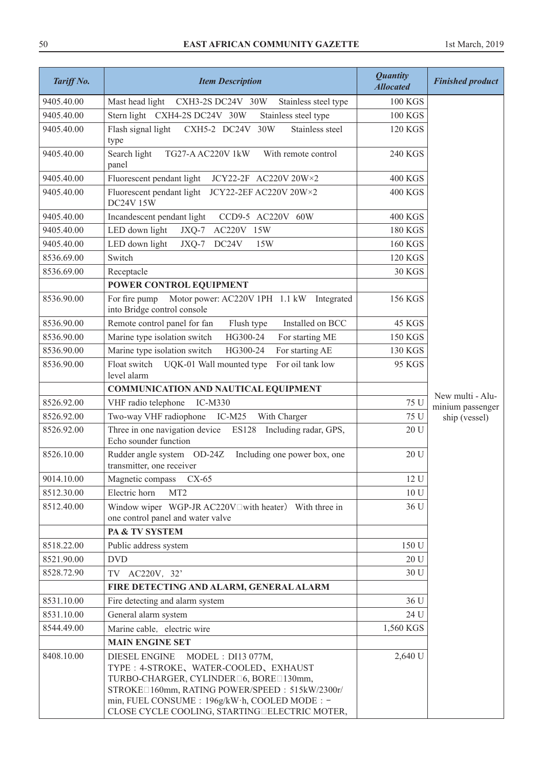| Tariff No. | <b>Item Description</b>                                                                                                                                                                                                                                                  | <b>Quantity</b><br><b>Allocated</b> | <b>Finished product</b> |
|------------|--------------------------------------------------------------------------------------------------------------------------------------------------------------------------------------------------------------------------------------------------------------------------|-------------------------------------|-------------------------|
| 9405.40.00 | Mast head light<br>CXH3-2S DC24V 30W<br>Stainless steel type                                                                                                                                                                                                             | <b>100 KGS</b>                      |                         |
| 9405.40.00 | Stern light CXH4-2S DC24V 30W<br>Stainless steel type                                                                                                                                                                                                                    | <b>100 KGS</b>                      |                         |
| 9405.40.00 | Flash signal light<br>CXH5-2 DC24V 30W<br>Stainless steel<br>type                                                                                                                                                                                                        | <b>120 KGS</b>                      |                         |
| 9405.40.00 | Search light<br>TG27-A AC220V 1kW<br>With remote control<br>panel                                                                                                                                                                                                        | 240 KGS                             |                         |
| 9405.40.00 | Fluorescent pendant light<br>JCY22-2F AC220V 20W×2                                                                                                                                                                                                                       | <b>400 KGS</b>                      |                         |
| 9405.40.00 | Fluorescent pendant light JCY22-2EF AC220V 20W×2<br><b>DC24V 15W</b>                                                                                                                                                                                                     | <b>400 KGS</b>                      |                         |
| 9405.40.00 | Incandescent pendant light<br>CCD9-5 AC220V 60W                                                                                                                                                                                                                          | <b>400 KGS</b>                      |                         |
| 9405.40.00 | LED down light<br>JXQ-7<br>AC220V 15W                                                                                                                                                                                                                                    | <b>180 KGS</b>                      |                         |
| 9405.40.00 | LED down light<br>$JXQ-7$<br>DC24V<br>15W                                                                                                                                                                                                                                | <b>160 KGS</b>                      |                         |
| 8536.69.00 | Switch                                                                                                                                                                                                                                                                   | <b>120 KGS</b>                      |                         |
| 8536.69.00 | Receptacle                                                                                                                                                                                                                                                               | <b>30 KGS</b>                       |                         |
|            | POWER CONTROL EQUIPMENT                                                                                                                                                                                                                                                  |                                     |                         |
| 8536.90.00 | For fire pump<br>Motor power: AC220V 1PH 1.1 kW Integrated<br>into Bridge control console                                                                                                                                                                                | 156 KGS                             |                         |
| 8536.90.00 | Remote control panel for fan<br>Flush type<br>Installed on BCC                                                                                                                                                                                                           | 45 KGS                              |                         |
| 8536.90.00 | Marine type isolation switch<br>HG300-24<br>For starting ME                                                                                                                                                                                                              | <b>150 KGS</b>                      |                         |
| 8536.90.00 | Marine type isolation switch<br>HG300-24<br>For starting AE                                                                                                                                                                                                              | 130 KGS                             |                         |
| 8536.90.00 | Float switch<br>For oil tank low<br>UQK-01 Wall mounted type<br>level alarm                                                                                                                                                                                              | 95 KGS                              |                         |
|            | <b>COMMUNICATION AND NAUTICAL EQUIPMENT</b>                                                                                                                                                                                                                              |                                     | New multi - Alu-        |
| 8526.92.00 | VHF radio telephone<br>IC-M330                                                                                                                                                                                                                                           | 75 U                                | minium passenger        |
| 8526.92.00 | Two-way VHF radiophone<br>$IC-M25$<br>With Charger                                                                                                                                                                                                                       | 75 U                                | ship (vessel)           |
| 8526.92.00 | Three in one navigation device<br><b>ES128</b><br>Including radar, GPS,<br>Echo sounder function                                                                                                                                                                         | 20 U                                |                         |
| 8526.10.00 | Rudder angle system OD-24Z<br>Including one power box, one<br>transmitter, one receiver                                                                                                                                                                                  | 20 U                                |                         |
| 9014.10.00 | Magnetic compass<br>$CX-65$                                                                                                                                                                                                                                              | 12 U                                |                         |
| 8512.30.00 | Electric horn<br>MT <sub>2</sub>                                                                                                                                                                                                                                         | 10 <sub>U</sub>                     |                         |
| 8512.40.00 | Window wiper WGP-JR AC220V□with heater) With three in<br>one control panel and water valve                                                                                                                                                                               | 36 U                                |                         |
|            | PA & TV SYSTEM                                                                                                                                                                                                                                                           |                                     |                         |
| 8518.22.00 | Public address system                                                                                                                                                                                                                                                    | 150 U                               |                         |
| 8521.90.00 | <b>DVD</b>                                                                                                                                                                                                                                                               | 20 U                                |                         |
| 8528.72.90 | TV AC220V, 32'                                                                                                                                                                                                                                                           | 30 U                                |                         |
|            | FIRE DETECTING AND ALARM, GENERAL ALARM                                                                                                                                                                                                                                  |                                     |                         |
| 8531.10.00 | Fire detecting and alarm system                                                                                                                                                                                                                                          | 36 U                                |                         |
| 8531.10.00 | General alarm system                                                                                                                                                                                                                                                     | 24 U                                |                         |
| 8544.49.00 | Marine cable, electric wire                                                                                                                                                                                                                                              | 1,560 KGS                           |                         |
|            | <b>MAIN ENGINE SET</b>                                                                                                                                                                                                                                                   |                                     |                         |
| 8408.10.00 | <b>DIESEL ENGINE</b><br>MODEL: DI13 077M,<br>TYPE : 4-STROKE, WATER-COOLED, EXHAUST<br>TURBO-CHARGER, CYLINDER <sup>[16]</sup> , BORE <sup>130</sup> mm,<br>STROKE <sup>160mm</sup> , RATING POWER/SPEED: 515kW/2300r/<br>min, FUEL CONSUME : 196g/kW·h, COOLED MODE : - | 2,640 U                             |                         |
|            | CLOSE CYCLE COOLING, STARTING DELECTRIC MOTER,                                                                                                                                                                                                                           |                                     |                         |